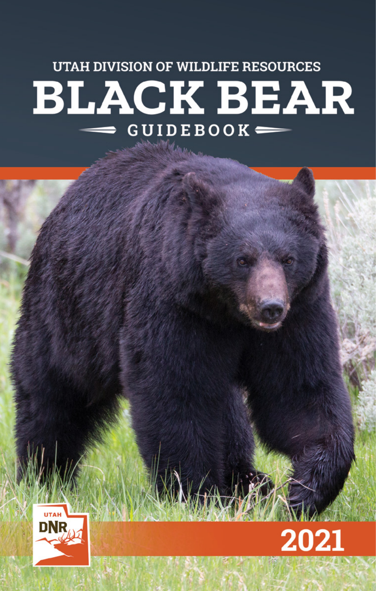# **UTAH DIVISION OF WILDLIFE RESOURCES BLACK BEAR**  $GUIDEBOOK$   $=$



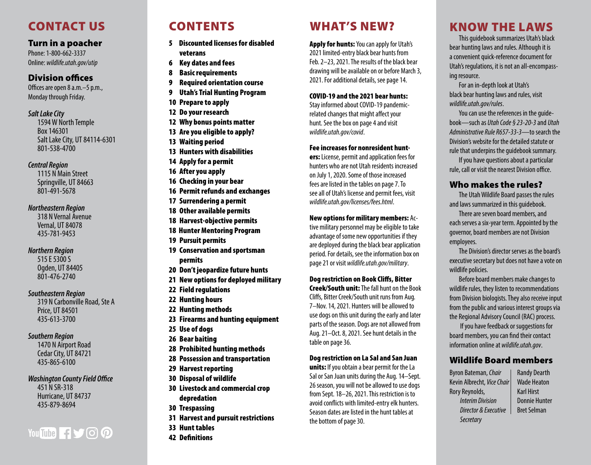# CONTACT US

#### Turn in a poacher

*Utah Black Bear Guidebook • 2021* Phone: 1-800-662-3337 Online: *[wildlife.utah.gov/utip](http://wildlife.utah.gov/utip)*

#### Division offices

Offices are open 8 a.m.–5 p.m., Monday through Friday.

#### *Salt Lake City*

1594 W North Temple Box 146301 Salt Lake City, UT 84114-6301 801-538-4700

#### *Central Region*

1115 N Main Street Springville, UT 84663 801-491-5678

#### *Northeastern Region*

318 N Vernal Avenue Vernal, UT 84078 435-781-9453

#### *Northern Region*

515 E 5300 S Ogden, UT 84405 801-476-2740

#### *Southeastern Region*

319 N Carbonville Road, Ste A Price, UT 84501 435-613-3700

#### *Southern Region*

1470 N Airport Road Cedar City, UT 84721 435-865-6100

wildlife.utah.<br>K *Washington County Field Office* 451 N SR-318 Hurricane, UT 84737

435-879-8694

# You Tube 1500

# CONTENTS

- 5 Discounted licenses for disabled veterans
- 6 [Key dates and fees](#page-3-0)
- 8 [Basic requirements](#page-4-0)
- [9](#page-4-0) Required orientation course
- 9 [Utah's Trial Hunting Program](#page-4-0)
- 10 [Prepare to apply](#page-5-0)
- 12 [Do your research](#page-5-0)
- 12 [Why bonus points matter](#page-6-0)
- 13 [Are you eligible to apply?](#page-6-0)
- 13 [Waiting period](#page-6-0)
- 13 [Hunters with disabilities](#page-6-0)
- 14 [Apply for a permit](#page-7-0)
- 16 [After you apply](#page-8-0)
- 16 [C](#page-8-0)hecking in your bear
- 16 [Permit refunds and exchanges](#page-8-0)
- 17 [Surrendering a permit](#page-8-0)
- 18 [Other available permits](#page-9-0)
- 18 [Harvest-objective permits](#page-9-0)
- 18 Hunter Mentoring Program
- 19 [Pursuit permits](#page-9-0)
- 19 [Conservation and sportsman](#page-10-0)  [permits](#page-10-0)
- 20 Don't jeopardize future hunts
- 21 [N](#page-11-0)ew options for deployed military
- 22 [Field regulations](#page-11-0)
- 22 [Hunting hours](#page-11-0)
- 22 [Hunting methods](#page-11-0)
- 23 [Firearms and hunting equipment](#page-11-0)
- 25 [Use of dogs](#page-13-0)
- 26 [Bear baiting](#page-13-0)
- 28 [Prohibited hunting methods](#page-14-0)
- 28 [Possession and transportation](#page-14-0)
- 29 [Harvest reporting](#page-14-0)
- 30 [Disposal of wildlife](#page-15-0)
- 30 [Livestock and commercial crop](#page-15-0)  [depredation](#page-15-0)
- 30 [Trespassing](#page-15-0)
- 31 [Harvest and pursuit restrictions](#page-15-0)
- 33 [Hunt tables](#page-16-0)
- 42 [Definitions](#page-20-0)

# WHAT'S NEW?

Apply for hunts: You can apply for Utah's 2021 limited-entry black bear hunts from Feb. 2–23, 2021. The results of the black bear drawing will be available on or before March 3, 2021. For additional details, see [page 14.](#page-7-1)

#### COVID-19 and the 2021 bear hunts:

Stay informed about COVID-19 pandemicrelated changes that might affect your hunt. See the box on page [4](#page-2-0) and visit *wildlife.utah.gov/covid* .

#### Fee increases for nonresident hunt -

ers: License, permit and application fees for hunters who are not Utah residents increased on July 1, 2020. Some of those increased fees are listed in the tables on page [7](#page-3-1). To see all of Utah's license and permit fees, visit *wildlife.utah.gov/licenses/fees.html* .

#### New options for military members: Ac -

tive military personnel may be eligible to take advantage of some new opportunities if they are deployed during the black bear application period. For details, see the information box on page [21](#page-10-1) or visit *wildlife.utah.gov/military* .

#### Dog restriction on Book Cliffs, Bitter

Creek/South unit: The fall hunt on the Book Cliffs, Bitter Creek/South unit runs from Aug. 7–Nov. 14, 2021. Hunters will be allowed to use dogs on this unit during the early and later parts of the season. Dogs are not allowed from Aug. 21–Oct. 8, 2021. See hunt details in the table on [page 36](#page-18-0).

#### Dog restriction on La Sal and San Juan

units: If you obtain a bear permit for the La Sal or San Juan units during the Aug. 14–Sept. 26 season, you will not be allowed to use dogs from Sept. 18–26, 2021. This restriction is to avoid conflicts with limited-entry elk hunters. Season dates are listed in the hunt tables at the bottom of [page](#page-18-1) 30.

# KNOW THE LAWS

This guidebook summarizes Utah's black bear hunting laws and rules. Although it is a convenient quick-reference document for Utah's regulations, it is not an all-encompass ing resource.

For an in-depth look at Utah's black bear hunting laws and rules, visit *[wildlife.utah.gov/rules](http://wildlife.utah.gov/rules)* .

You can use the references in the guide book—such as *Utah Code § 23-20-3* and *Utah Administrative Rule R657-33-3*—to search the Division's website for the detailed statute or rule that underpins the guidebook summary.

If you have questions about a particular rule, call or visit the nearest Division office.

#### Who makes the rules?

The Utah Wildlife Board passes the rules and laws summarized in this guidebook.

There are seven board members, and each serves a six-year term. Appointed by the governor, board members are not Division employees.

The Division's director serves as the board's executive secretary but does not have a vote on wildlife policies.

Before board members make changes to wildlife rules, they listen to recommendations from Division biologists. They also receive input from the public and various interest groups via the Regional Advisory Council (RAC) process.

 If you have feedback or suggestions for board members, you can find their contact information online at *[wildlife.utah.gov](http://wildlife.utah.gov)* .

#### Wildlife Board members

Byron Bateman, *Chair* Kevin Albrecht, *Vice Chair* Rory Reynolds, *Interim Division Director & Executive Secretary*

Randy Dearth Wade Heaton Karl Hirst Donnie Hunter Bret Selman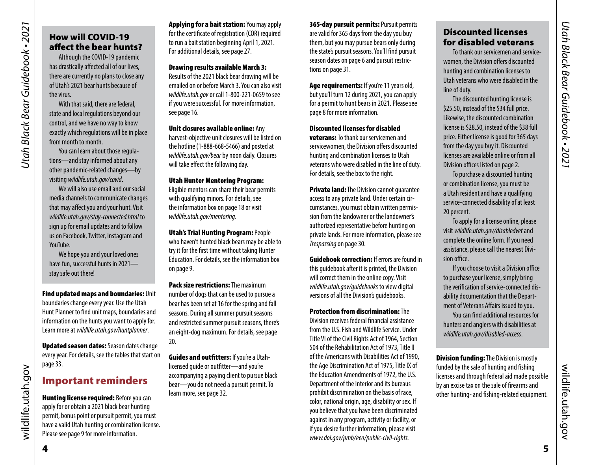# Utah Black Bear Guidebook • 2021 *Utah Black Bear Guidebook • 2021*

# <span id="page-2-0"></span>How will COVID-19 affect the bear hunts?

Although the COVID-19 pandemic has drastically affected all of our lives, there are currently no plans to close any of Utah's 2021 bear hunts because of the virus.

With that said, there are federal, state and local regulations beyond our control, and we have no way to know exactly which regulations will be in place from month to month.

You can learn about those regulations—and stay informed about any other pandemic-related changes—by visiting *wildlife.utah.gov/covid*.

We will also use email and our social media channels to communicate changes that may affect you and your hunt. Visit *wildlife.utah.gov/stay-connected.html* to sign up for email updates and to follow us on Facebook, Twitter, Instagram and YouTube.

We hope you and your loved ones have fun, successful hunts in 2021 stay safe out there!

Find updated maps and boundaries: Unit boundaries change every year. Use the Utah Hunt Planner to find unit maps, boundaries and information on the hunts you want to apply for. Learn more at *wildlife.utah.gov/huntplanner*.

Updated season dates: Season dates change every year. For details, see the tables that start on [page 33.](#page-16-2)

#### Important reminders

**Hunting license required:** Before you can apply for or obtain a 2021 black bear hunting permit, bonus point or pursuit permit, you must have a valid Utah hunting or combination license. Please see [page 9](#page-4-3) for more information.

**Applying for a bait station: You may apply** for the certificate of registration (COR) required to run a bait station beginning April 1, 2021. For additional details, see [page 27](#page-13-1).

Drawing results available March 3:

Results of the 2021 black bear drawing will be emailed on or before March 3. You can also visit *[wildlife.utah.gov](http://wildlife.utah.gov)* or call 1-800-221-0659 to see if you were successful. For more information, see [page 1](#page-7-2)6.

Unit closures available online: Any harvest-objective unit closures will be listed on

the hotline (1-888-668-5466) and posted at *[wildlife.utah.gov/bear](http://wildlife.utah.gov/bear)* by noon daily. Closures will take effect the following day.

#### Utah Hunter Mentoring Program:

Eligible mentors can share their bear permits with qualifying minors. For details, see the information box on page [18](#page-9-1) or visit *wildlife.utah.gov/mentoring*.

Utah's Trial Hunting Program: People

who haven't hunted black bears may be able to try it for the first time without taking Hunter Education. For details, see the information box on [page 9](#page-4-2).

Pack size restrictions: The maximum number of dogs that can be used to pursue a bear has been set at 16 for the spring and fall seasons. During all summer pursuit seasons and restricted summer pursuit seasons, there's an eight-dog maximum. For details, see page [20.](#page-10-2)

Guides and outfitters: If you're a Utahlicensed guide or outfitter—and you're accompanying a paying client to pursue black bear—you do not need a pursuit permit. To learn more, see page [32.](#page-16-1)

365-day pursuit permits: Pursuit permits are valid for 365 days from the day you buy them, but you may pursue bears only during the state's pursuit seasons. You'll find pursuit season dates on [page 6](#page-3-2) and pursuit restrictions on [page 31.](#page-15-1)

Age requirements: If you're 11 years old, but you'll turn 12 during 2021, you can apply for a permit to hunt bears in 2021. Please see [page 8](#page-4-1) for more information.

Discounted licenses for disabled veterans: To thank our servicemen and servicewomen, the Division offers discounted hunting and combination licenses to Utah veterans who were disabled in the line of duty. For details, see the box to the right.

**Private land:** The Division cannot quarantee access to any private land. Under certain circumstances, you must obtain written permission from the landowner or the landowner's authorized representative before hunting on private lands. For more information, please see *Trespassing* [on page 30.](#page-15-2)

**Guidebook correction:** If errors are found in this guidebook after it is printed, the Division will correct them in the online copy. Visit *[wildlife.utah.gov/guidebooks](http://wildlife.utah.gov/guidebooks)* to view digital versions of all the Division's guidebooks.

#### Protection from discrimination: The

Division receives federal financial assistance from the U.S. Fish and Wildlife Service. Under Title VI of the Civil Rights Act of 1964, Section 504 of the Rehabilitation Act of 1973, Title II of the Americans with Disabilities Act of 1990, the Age Discrimination Act of 1975, Title IX of the Education Amendments of 1972, the U.S. Department of the Interior and its bureaus prohibit discrimination on the basis of race, color, national origin, age, disability or sex. If you believe that you have been discriminated against in any program, activity or facility, or if you desire further information, please visit *www.doi.gov/pmb/eeo/public-civil-rights.*

#### Discounted licenses for disabled veterans

To thank our servicemen and servicewomen, the Division offers discounted hunting and combination licenses to Utah veterans who were disabled in the line of duty.

The discounted hunting license is \$25.50, instead of the \$34 full price. Likewise, the discounted combination license is \$28.50, instead of the \$38 full price. Either license is good for 365 days from the day you buy it. Discounted licenses are available online or from all Division offices listed on page 2.

To purchase a discounted hunting or combination license, you must be a Utah resident and have a qualifying service-connected disability of at least 20 percent.

To apply for a license online, please visit *wildlife.utah.gov/disabledvet* and complete the online form. If you need assistance, please call the nearest Division office.

If you choose to visit a Division office to purchase your license, simply bring the verification of service-connected disability documentation that the Department of Veterans Affairs issued to you. You can find additional resources for

hunters and anglers with disabilities at *wildlife.utah.gov/disabled-access*.

**Division funding:** The Division is mostly funded by the sale of hunting and fishing licenses and through federal aid made possible by an excise tax on the sale of firearms and other hunting- and fishing-related equipment.

wildlife.utah.gov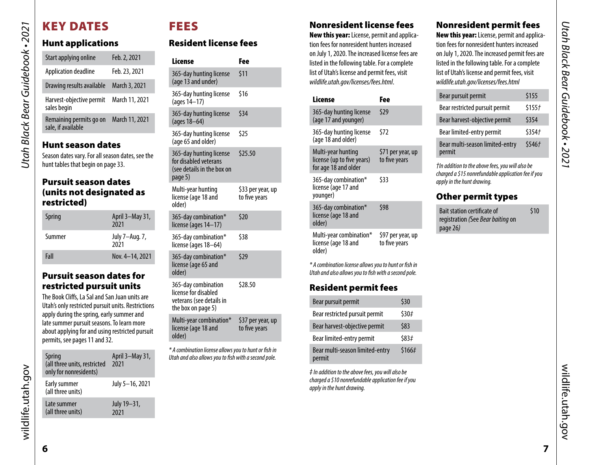# <span id="page-3-3"></span>KEY DATES

*Utah Black Bear Guidebook • 2021*

<span id="page-3-0"></span>Utah Black Bear Guidebook • 2021

# Hunt applications

| Start applying online                            | Feb. 2, 2021   |  |  |  |
|--------------------------------------------------|----------------|--|--|--|
| Application deadline                             | Feb. 23, 2021  |  |  |  |
| Drawing results available                        | March 3, 2021  |  |  |  |
| Harvest-objective permit<br>sales begin          | March 11, 2021 |  |  |  |
| Remaining permits go on<br>sale, if available    | March 11, 2021 |  |  |  |
| Hunt season dates                                |                |  |  |  |
| Season dates vary. For all season dates, see the |                |  |  |  |
| hunt tables that begin on page 33.               |                |  |  |  |

#### <span id="page-3-2"></span>Pursuit season dates (units not designated as restricted)

| Spring | April 3-May 31,<br>2021 |
|--------|-------------------------|
| Summer | July 7–Aug. 7,<br>2021  |
| Fall   | Nov. 4-14, 2021         |

#### Pursuit season dates for restricted pursuit units

The Book Cliffs, La Sal and San Juan units are Utah's only restricted pursuit units. Restrictions apply during the spring, early summer and late summer pursuit seasons. To learn more about applying for and using restricted pursuit permits, see [pages 11](#page-5-1) an[d 32.](#page-16-3)

| Spring<br>(all three units, restricted<br>only for nonresidents) | April 3-May 31,<br>2021 |
|------------------------------------------------------------------|-------------------------|
| Early summer<br>(all three units)                                | July 5-16, 2021         |
| Late summer<br>(all three units)                                 | July 19-31,<br>2021     |

# FEES

# Resident license fees

| License                                                                                       | Fee                                |
|-----------------------------------------------------------------------------------------------|------------------------------------|
| 365-day hunting license<br>(age 13 and under)                                                 | \$11                               |
| 365-day hunting license<br>(ages 14–17)                                                       | \$16                               |
| 365-day hunting license<br>(ages 18-64)                                                       | \$34                               |
| 365-day hunting license<br>(age 65 and older)                                                 | \$25                               |
| 365-day hunting license<br>for disabled veterans<br>(see details in the box on<br>page 5)     | \$25.50                            |
| Multi-year hunting<br>license (age 18 and<br>older)                                           | \$33 per year, up<br>to five years |
| 365-day combination*<br>license (ages 14-17)                                                  | \$20                               |
| 365-day combination*<br>license (ages 18–64)                                                  | \$38                               |
| 365-day combination*<br>license (age 65 and<br>older)                                         | \$29                               |
| 365-day combination<br>license for disabled<br>veterans (see details in<br>the box on page 5) | \$28.50                            |
| Multi-year combination*<br>license (age 18 and<br>older)                                      | \$37 per year, up<br>to five years |

*\* A combination license allows you to hunt or fish in Utah and also allows you to fish with a second pole.*

#### Nonresident license fees

New this year: License, permit and application fees for nonresident hunters increased on July 1, 2020. The increased license fees are listed in the following table. For a complete list of Utah's license and permit fees, visit *wildlife.utah.gov/licenses/fees.html*.

| License                                                                  | Fee                                |
|--------------------------------------------------------------------------|------------------------------------|
| 365-day hunting license<br>(age 17 and younger)                          | \$29                               |
| 365-day hunting license<br>(age 18 and older)                            | \$72                               |
| Multi-year hunting<br>license (up to five years)<br>for age 18 and older | \$71 per year, up<br>to five years |
| 365-day combination*<br>license (age 17 and<br>younger)                  | \$33                               |
| 365-day combination*<br>license (age 18 and<br>older)                    | \$98                               |
| Multi-year combination*                                                  | \$97 per year, up                  |

Multi-year combination\* license (age 18 and older) to five years

*\* A combination license allows you to hunt or fish in Utah and also allows you to fish with a second pole.*

#### Resident permit fees

| Bear pursuit permit                       | \$30   |
|-------------------------------------------|--------|
| Bear restricted pursuit permit            | \$30#  |
| Bear harvest-objective permit             | \$83   |
| Bear limited-entry permit                 | \$83#  |
| Bear multi-season limited-entry<br>permit | \$166# |

*‡ In addition to the above fees, you will also be charged a \$10 nonrefundable application fee if you apply in the hunt drawing.*

#### <span id="page-3-1"></span>Nonresident permit fees

New this year: License, permit and application fees for nonresident hunters increased on July 1, 2020. The increased permit fees are listed in the following table. For a complete list of Utah's license and permit fees, visit *wildlife.utah.gov/licenses/fees.html*

| Bear pursuit permit                       | \$155  |
|-------------------------------------------|--------|
| Bear restricted pursuit permit            | \$155f |
| Bear harvest-objective permit             | \$354  |
| Bear limited-entry permit                 | \$3547 |
| Bear multi-season limited-entry<br>permit | \$546f |

*†In addition to the above fees, you will also be charged a \$15 nonrefundable application fee if you apply in the hunt drawing.*

#### Other permit types

| <b>Bait station certificate of</b> | \$10 |
|------------------------------------|------|
| registration (See Bear baiting on  |      |
| page 26)                           |      |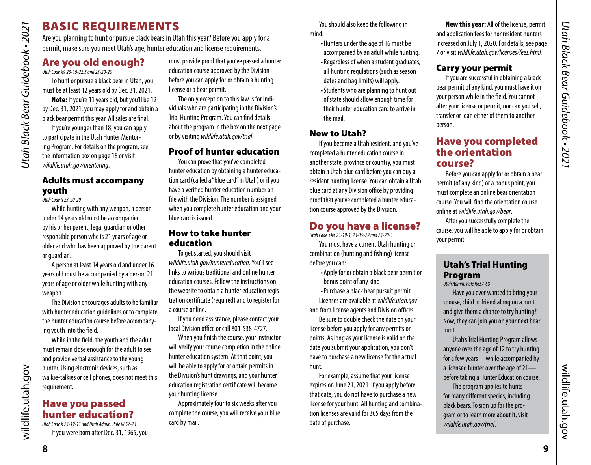# BASIC REQUIREMENTS

Are you planning to hunt or pursue black bears in Utah this year? Before you apply for a permit, make sure you meet Utah's age, hunter education and license requirements.

# <span id="page-4-1"></span>Are you old enough?

*Utah Code §§ 23-19-22.5 and 23-20-20* 

*Utah Black Bear Guidebook • 2021*

<span id="page-4-0"></span>Utah Black Bear Guidebook • 2021

To hunt or pursue a black bear in Utah, you must be at least 12 years old by Dec. 31, 2021.

Note: If you're 11 years old, but you'll be 12 by Dec. 31, 2021, you may apply for and obtain a black bear permit this year. All sales are final.

If you're younger than 18, you can apply to participate in the Utah Hunter Mentoring Program. For details on the program, see the information box on page [18](#page-9-1) or visit *wildlife.utah.gov/mentoring*.

#### Adults must accompany youth

*Utah Code § 23-20-20*

While hunting with any weapon, a person under 14 years old must be accompanied by his or her parent, legal guardian or other responsible person who is 21 years of age or older and who has been approved by the parent or guardian.

A person at least 14 years old and under 16 years old must be accompanied by a person 21 years of age or older while hunting with any weapon.

The Division encourages adults to be familiar with hunter education guidelines or to complete the hunter education course before accompanying youth into the field.

While in the field, the youth and the adult must remain close enough for the adult to see and provide verbal assistance to the young hunter. Using electronic devices, such as walkie-talkies or cell phones, does not meet this requirement.

#### Have you passed hunter education? *Utah Code § 23-19-11 and Utah Admin. Rule R657-23*

If you were born after Dec. 31, 1965, you

must provide proof that you've passed a hunter education course approved by the Division before you can apply for or obtain a hunting license or a bear permit.

The only exception to this law is for individuals who are participating in the Division's Trial Hunting Program. You can find details about the program in the box on the next page or by visiting *wildlife.utah.gov/trial*.

#### Proof of hunter education

You can prove that you've completed hunter education by obtaining a hunter education card (called a "blue card" in Utah) or if you have a verified hunter education number on file with the Division. The number is assigned when you complete hunter education and your blue card is issued.

#### How to take hunter education

To get started, you should visit *wildlife.utah.gov/huntereducation*. You'll see links to various traditional and online hunter education courses. Follow the instructions on the website to obtain a hunter education registration certificate (required) and to register for a course online.

If you need assistance, please contact your local Division office or call 801-538-4727.

When you finish the course, your instructor will verify your course completion in the online hunter education system. At that point, you will be able to apply for or obtain permits in the Division's hunt drawings, and your hunter education registration certificate will become your hunting license.

Approximately four to six weeks after you complete the course, you will receive your blue card by mail.

You should also keep the following in mind:

- •Hunters under the age of 16 must be accompanied by an adult while hunting.
- Regardless of when a student graduates, all hunting regulations (such as season dates and bag limits) will apply.
- •Students who are planning to hunt out of state should allow enough time for their hunter education card to arrive in the mail.

#### New to Utah?

If you become a Utah resident, and you've completed a hunter education course in another state, province or country, you must obtain a Utah blue card before you can buy a resident hunting license. You can obtain a Utah blue card at any Division office by providing proof that you've completed a hunter education course approved by the Division.

# <span id="page-4-3"></span>Do you have a license?

*Utah Code §§§ 23-19-1, 23-19-22 and 23-20-3*

You must have a current Utah hunting or combination (hunting and fishing) license before you can:

- •Apply for or obtain a black bear permit or bonus point of any kind
- •Purchase a black bear pursuit permit Licenses are available at *[wildlife.utah.gov](http://wildlife.utah.gov)*

and from license agents and Division offices. Be sure to double check the date on your

license before you apply for any permits or points. As long as your license is valid on the date you submit your application, you don't have to purchase a new license for the actual hunt.

For example, assume that your license expires on June 21, 2021. If you apply before that date, you do not have to purchase a new license for your hunt. All hunting and combination licenses are valid for 365 days from the date of purchase.

New this year: All of the license, permit and application fees for nonresident hunters increased on July 1, 2020. For details, see page [7](#page-3-1) or visit *wildlife.utah.gov/licenses/fees.html.*

#### Carry your permit

If you are successful in obtaining a black bear permit of any kind, you must have it on your person while in the field. You cannot alter your license or permit, nor can you sell, transfer or loan either of them to another person.

#### <span id="page-4-4"></span>Have you completed the orientation course?

Before you can apply for or obtain a bear permit (of any kind) or a bonus point, you must complete an online bear orientation course. You will find the orientation course online at *[wildlife.utah.gov/bear](http://wildlife.utah.gov/bear)*.

After you successfully complete the course, you will be able to apply for or obtain your permit.

#### <span id="page-4-2"></span>Utah's Trial Hunting Program

*Utah Admin. Rule R657-68*

Have you ever wanted to bring your spouse, child or friend along on a hunt and give them a chance to try hunting? Now, they can join you on your next bear hunt.

Utah's Trial Hunting Program allows anyone over the age of 12 to try hunting for a few years—while accompanied by a licensed hunter over the age of 21 before taking a Hunter Education course.

The program applies to hunts for many different species, including black bears. To sign up for the program or to learn more about it, visit *wildlife.utah.gov/trial*.

wildlife.utah.gov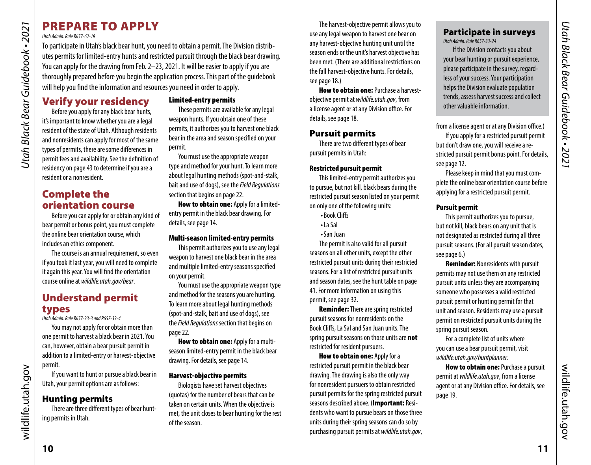# PREPARE TO APPLY

#### *Utah Admin. Rule R657-62-19*

*Utah Black Bear Guidebook • 2021*

<span id="page-5-0"></span>Utah Black Bear Guidebook • 2021

To participate in Utah's black bear hunt, you need to obtain a permit. The Division distributes permits for limited-entry hunts and restricted pursuit through the black bear drawing. You can apply for the drawing from Feb. 2–23, 2021. It will be easier to apply if you are thoroughly prepared before you begin the application process. This part of the guidebook will help you find the information and resources you need in order to apply.

Verify your residency Before you apply for any black bear hunts, it's important to know whether you are a legal resident of the state of Utah. Although residents and nonresidents can apply for most of the same types of permits, there are some differences in permit fees and availability. See the definition of residency on [page 43](#page-21-0) to determine if you are a resident or a nonresident.

# Complete the orientation course

Before you can apply for or obtain any kind of bear permit or bonus point, you must complete the online bear orientation course, which includes an ethics component.

The course is an annual requirement, so even if you took it last year, you will need to complete it again this year. You will find the orientation course online at *[wildlife.utah.gov/bear](http://wildlife.utah.gov/bear)*.

# Understand permit types

*Utah Admin. Rule R657-33-3 and R657-33-4*

You may not apply for or obtain more than one permit to harvest a black bear in 2021. You can, however, obtain a bear pursuit permit in addition to a limited-entry or harvest-objective permit.

If you want to hunt or pursue a black bear in Utah, your permit options are as follows:

# Hunting permits

There are three different types of bear hunting permits in Utah.

#### <span id="page-5-2"></span>Limited-entry permits

These permits are available for any legal weapon hunts. If you obtain one of these permits, it authorizes you to harvest one black bear in the area and season specified on your permit.

You must use the appropriate weapon type and method for your hunt. To learn more about legal hunting methods (spot-and-stalk, bait and use of dogs), see the *Field Regulations* section that begins on [page 22.](#page-11-1)

How to obtain one: Apply for a limitedentry permit in the black bear drawing. For details, see [page 14](#page-7-1).

#### Multi-season limited-entry permits

This permit authorizes you to use any legal weapon to harvest one black bear in the area and multiple limited-entry seasons specified on your permit.

You must use the appropriate weapon type and method for the seasons you are hunting. To learn more about legal hunting methods (spot-and-stalk, bait and use of dogs), see the *Field Regulations* section that begins on [page 22.](#page-11-1)

How to obtain one: Apply for a multiseason limited-entry permit in the black bear drawing. For details, see [page 14.](#page-7-1)

#### Harvest-objective permits

Biologists have set harvest objectives (quotas) for the number of bears that can be taken on certain units. When the objective is met, the unit closes to bear hunting for the rest of the season.

The harvest-objective permit allows you to use any legal weapon to harvest one bear on any harvest-objective hunting unit until the season ends or the unit's harvest objective has been met. (There are additional restrictions on the fall harvest-objective hunts. For details, see [page 18](#page-9-3).)

**How to obtain one: Purchase a harvest**objective permit at *[wildlife.utah.gov](http://wildlife.utah.gov)*, from a license agent or at any Division office. For details, see [page 18](#page-9-3).

#### Pursuit permits

There are two different types of bear pursuit permits in Utah:

#### <span id="page-5-1"></span>Restricted pursuit permit

This limited-entry permit authorizes you to pursue, but not kill, black bears during the restricted pursuit season listed on your permit on only one of the following units:

- •Book Cliffs
- •La Sal
- •San Juan

The permit is also valid for all pursuit seasons on all other units, except the other restricted pursuit units during their restricted seasons. For a list of restricted pursuit units and season dates, see the hunt table on [page](#page-20-1)  [41.](#page-20-1) For more information on using this permit, see [page 32](#page-16-3).

Reminder: There are spring restricted pursuit seasons for nonresidents on the Book Cliffs, La Sal and San Juan units. The spring pursuit seasons on those units are not restricted for resident pursuers.

**How to obtain one: Apply for a** restricted pursuit permit in the black bear drawing. The drawing is also the only way for nonresident pursuers to obtain restricted pursuit permits for the spring restricted pursuit seasons described above. (Important: Residents who want to pursue bears on those three units during their spring seasons can do so by purchasing pursuit permits at *[wildlife.utah.gov](http://wildlife.utah.gov)*,

#### Participate in surveys *Utah Admin. Rule R657-33-24*

If the Division contacts you about your bear hunting or pursuit experience, please participate in the survey, regardless of your success. Your participation helps the Division evaluate population trends, assess harvest success and collect other valuable information.

from a license agent or at any Division office.)

If you apply for a restricted pursuit permit but don't draw one, you will receive a restricted pursuit permit bonus point. For details, see [page 12](#page-6-1).

Please keep in mind that you must complete the online bear orientation course before applying for a restricted pursuit permit.

#### Pursuit permit

This permit authorizes you to pursue, but not kill, black bears on any unit that is not designated as restricted during all three pursuit seasons. (For all pursuit season dates, see [page 6](#page-3-2).)

Reminder: Nonresidents with pursuit permits may not use them on any restricted pursuit units unless they are accompanying someone who possesses a valid restricted pursuit permit or hunting permit for that unit and season. Residents may use a pursuit permit on restricted pursuit units during the spring pursuit season.

For a complete list of units where you can use a bear pursuit permit, visit *[wildlife.utah.gov/](http://wildlife.utah.gov/maps)huntplanner*.

How to obtain one: Purchase a pursuit permit at *[wildlife.utah.gov](http://wildlife.utah.gov)*, from a license agent or at any Division office. For details, see [page 19.](#page-9-2)

wildlife.utah.gov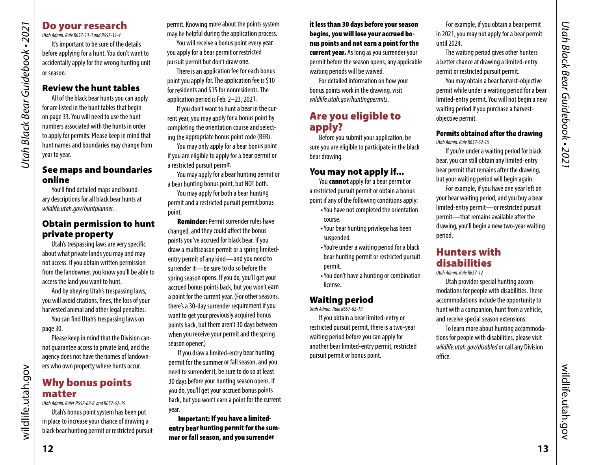# <span id="page-6-0"></span>Utah Black Bear Guidebook • 2021 *Utah Black Bear Guidebook • 2021*

#### Do your research

*Utah Admin. Rule R657-33-3 and R657-33-4* It's important to be sure of the details before applying for a hunt. You don't want to accidentally apply for the wrong hunting unit or season.

#### Review the hunt tables

All of the black bear hunts you can apply for are listed in the hunt tables that begin on [page 33.](#page-16-2) You will need to use the hunt numbers associated with the hunts in order to apply for permits. Please keep in mind that hunt names and boundaries may change from year to year.

#### See maps and boundaries online

You'll find detailed maps and boundary descriptions for all black bear hunts at *wildlife.utah.gov/huntplanner*.

#### Obtain permission to hunt private property

Utah's trespassing laws are very specific about what private lands you may and may not access. If you obtain written permission from the landowner, you know you'll be able to access the land you want to hunt.

And by obeying Utah's trespassing laws, you will avoid citations, fines, the loss of your harvested animal and other legal penalties.

You can find Utah's trespassing laws on [page 30.](#page-15-2)

Please keep in mind that the Division cannot guarantee access to private land, and the agency does not have the names of landowners who own property where hunts occur.

#### <span id="page-6-1"></span>Why bonus points matter

*Utah Admin. Rules R657-62-8 and R657-62-19*

Utah's bonus point system has been put in place to increase your chance of drawing a black bear hunting permit or restricted pursuit permit. Knowing more about the points system may be helpful during the application process.

You will receive a bonus point every year you apply for a bear permit or restricted pursuit permit but don't draw one.

There is an application fee for each bonus point you apply for. The application fee is \$10 for residents and \$15 for nonresidents. The application period is Feb. 2–23, 2021.

If you don't want to hunt a bear in the current year, you may apply for a bonus point by completing the orientation course and selecting the appropriate bonus point code (BER).

You may only apply for a bear bonus point if you are eligible to apply for a bear permit or a restricted pursuit permit.

You may apply for a bear hunting permit or a bear hunting bonus point, but NOT both.

You may apply for both a bear hunting permit and a restricted pursuit permit bonus point.

Reminder: Permit surrender rules have changed, and they could affect the bonus points you've accrued for black bear. If you draw a multiseason permit or a spring limitedentry permit of any kind—and you need to surrender it—be sure to do so before the spring season opens. If you do, you'll get your accrued bonus points back, but you won't earn a point for the current year. (For other seasons, there's a 30-day surrender requirement if you want to get your previously acquired bonus points back, but there aren't 30 days between when you receive your permit and the spring season opener.)

If you draw a limited-entry bear hunting permit for the summer or fall season, and you need to surrender it, be sure to do so at least 30 days before your hunting season opens. If you do, you'll get your accrued bonus points back, but you won't earn a point for the current year.

Important: If you have a limitedentry bear hunting permit for the summer or fall season, and you surrender

it less than 30 days before your season begins, you will lose your accrued bonus points and not earn a point for the current year. As long as you surrender your permit before the season opens, any applicable waiting periods will be waived.

For detailed information on how your bonus points work in the drawing, visit *wildlife.utah.gov/huntingpermits*.

#### Are you eligible to apply?

Before you submit your application, be sure you are eligible to participate in the black bear drawing.

#### You may not apply if...

You **cannot** apply for a bear permit or a restricted pursuit permit or obtain a bonus point if any of the following conditions apply:

- •You have not completed the orientation course.
- •Your bear hunting privilege has been suspended.
- •You're under a waiting period for a black bear hunting permit or restricted pursuit permit.
- •You don't have a hunting or combination license.

#### Waiting period

*Utah Admin. Rule R657-62-19*

If you obtain a bear limited-entry or restricted pursuit permit, there is a two-year waiting period before you can apply for another bear limited-entry permit, restricted pursuit permit or bonus point.

For example, if you obtain a bear permit in 2021, you may not apply for a bear permit until 2024.

The waiting period gives other hunters a better chance at drawing a limited-entry permit or restricted pursuit permit.

You may obtain a bear harvest-objective permit while under a waiting period for a bear limited-entry permit. You will not begin a new waiting period if you purchase a harvestobjective permit.

#### Permits obtained after the drawing *Utah Admin. Rule R657-62-15*

If you're under a waiting period for black bear, you can still obtain any limited-entry bear permit that remains after the drawing, but your waiting period will begin again.

For example, if you have one year left on your bear waiting period, and you buy a bear limited-entry permit—or restricted pursuit permit—that remains available after the drawing, you'll begin a new two-year waiting period.

#### Hunters with disabilities

*Utah Admin. Rule R657-12*

Utah provides special hunting accommodations for people with disabilities. These accommodations include the opportunity to hunt with a companion, hunt from a vehicle, and receive special season extensions.

To learn more about hunting accommodations for people with disabilities, please visit *[wildlife.utah.gov/disabled](http://wildlife.utah.gov/disabled)* or call any Division office.

wildlife.utah.gov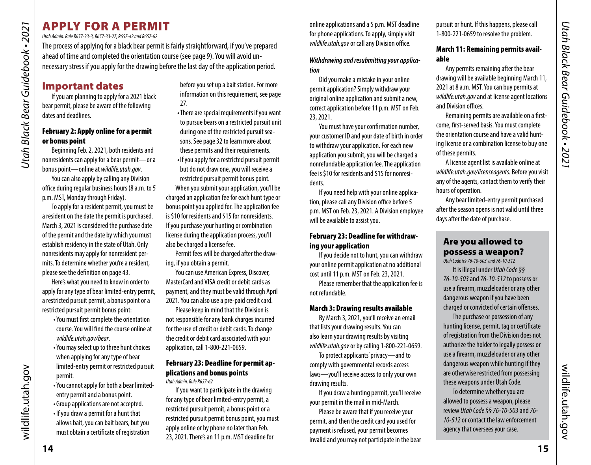# <span id="page-7-1"></span><span id="page-7-0"></span>APPLY FOR A PERMIT

*Utah Admin. Rule R657-33-3, R657-33-27, R657-42 and R657-62* 

The process of applying for a black bear permit is fairly straightforward, if you've prepared ahead of time and completed the orientation course (see [page 9\)](#page-4-4). You will avoid unnecessary stress if you apply for the drawing before the last day of the application period.

# Important dates

If you are planning to apply for a 2021 black bear permit, please be aware of the following dates and deadlines.

#### February 2: Apply online for a permit or bonus point

Beginning Feb. 2, 2021, both residents and nonresidents can apply for a bear permit—or a bonus point—online at *[wildlife.utah.gov](http://wildlife.utah.gov)*.

You can also apply by calling any Division office during regular business hours (8 a.m. to 5 p.m. MST, Monday through Friday).

To apply for a resident permit, you must be a resident on the date the permit is purchased. March 3, 2021 is considered the purchase date of the permit and the date by which you must establish residency in the state of Utah. Only nonresidents may apply for nonresident permits. To determine whether you're a resident, please see the definition on [page 43](#page-21-0).

Here's what you need to know in order to apply for any type of bear limited-entry permit, a restricted pursuit permit, a bonus point or a restricted pursuit permit bonus point:

- •You must first complete the orientation course. You will find the course online at *wildlife.utah.gov/bear*.
- •You may select up to three hunt choices when applying for any type of bear limited-entry permit or restricted pursuit permit.
- •You cannot apply for both a bear limitedentry permit and a bonus point.
- •Group applications are not accepted.
- •If you draw a permit for a hunt that allows bait, you can bait bears, but you must obtain a certificate of registration

before you set up a bait station. For more information on this requirement, see [page](#page-13-1)  [27](#page-13-1).

•There are special requirements if you want to pursue bears on a restricted pursuit unit during one of the restricted pursuit seasons. See page [32](#page-16-3) to learn more about these permits and their requirements. •If you apply for a restricted pursuit permit but do not draw one, you will receive a restricted pursuit permit bonus point. When you submit your application, you'll be charged an application fee for each hunt type or bonus point you applied for. The application fee is \$10 for residents and \$15 for nonresidents. If you purchase your hunting or combination

license during the application process, you'll also be charged a license fee.

Permit fees will be charged after the drawing, if you obtain a permit.

You can use American Express, Discover, MasterCard and VISA credit or debit cards as payment, and they must be valid through April 2021. You can also use a pre-paid credit card.

Please keep in mind that the Division is not responsible for any bank charges incurred for the use of credit or debit cards. To change the credit or debit card associated with your application, call 1-800-221-0659.

#### February 23: Deadline for permit applications and bonus points

*Utah Admin. Rule R657-62*

If you want to participate in the drawing for any type of bear limited-entry permit, a restricted pursuit permit, a bonus point or a restricted pursuit permit bonus point, you must apply online or by phone no later than Feb. 23, 2021. There's an 11 p.m. MST deadline for

online applications and a 5 p.m. MST deadline for phone applications. To apply, simply visit *[wildlife.utah.gov](http://wildlife.utah.gov)* or call any Division office.

#### *Withdrawing and resubmitting your application*

Did you make a mistake in your online permit application? Simply withdraw your original online application and submit a new. correct application before 11 p.m. MST on Feb. 23, 2021.

You must have your confirmation number, your customer ID and your date of birth in order to withdraw your application. For each new application you submit, you will be charged a nonrefundable application fee. The application fee is \$10 for residents and \$15 for nonresidents.

If you need help with your online application, please call any Division office before 5 p.m. MST on Feb. 23, 2021. A Division employee will be available to assist you.

#### February 23: Deadline for withdrawing your application

If you decide not to hunt, you can withdraw your online permit application at no additional cost until 11 p.m. MST on Feb. 23, 2021.

Please remember that the application fee is not refundable.

#### <span id="page-7-2"></span>March 3: Drawing results available

By March 3, 2021, you'll receive an email that lists your drawing results. You can also learn your drawing results by visiting *[wildlife.utah.gov](http://wildlife.utah.gov)* or by calling 1-800-221-0659.

To protect applicants' privacy—and to comply with governmental records access laws—you'll receive access to only your own drawing results.

If you draw a hunting permit, you'll receive your permit in the mail in mid-March.

Please be aware that if you receive your permit, and then the credit card you used for payment is refused, your permit becomes invalid and you may not participate in the bear

pursuit or hunt. If this happens, please call 1-800-221-0659 to resolve the problem.

#### March 11: Remaining permits available

Any permits remaining after the bear drawing will be available beginning March 11, 2021 at 8 a.m. MST. You can buy permits at *[wildlife.utah.gov](http://wildlife.utah.gov)* and at license agent locations and Division offices.

Remaining permits are available on a firstcome, first-served basis. You must complete the orientation course and have a valid hunting license or a combination license to buy one of these permits.

A license agent list is available online at *[wildlife.utah.gov/licenseagents](http://wildlife.utah.gov/licenseagents).* Before you visit any of the agents, contact them to verify their hours of operation.

Any bear limited-entry permit purchased after the season opens is not valid until three days after the date of purchase.

#### Are you allowed to possess a weapon?

*Utah Code §§ 76-10-503 and 76-10-512*

It is illegal under *Utah Code §§ 76-10-503* and *76-10-512* to possess or use a firearm, muzzleloader or any other dangerous weapon if you have been charged or convicted of certain offenses.

The purchase or possession of any hunting license, permit, tag or certificate of registration from the Division does not authorize the holder to legally possess or use a firearm, muzzleloader or any other dangerous weapon while hunting if they are otherwise restricted from possessing these weapons under Utah Code.

To determine whether you are allowed to possess a weapon, please review *Utah Code §§ 76-10-503* and *76- 10-512* or contact the law enforcement agency that oversees your case.

wildlife.utah.gov

wildlife.utah.gov

wildlife.utah.gov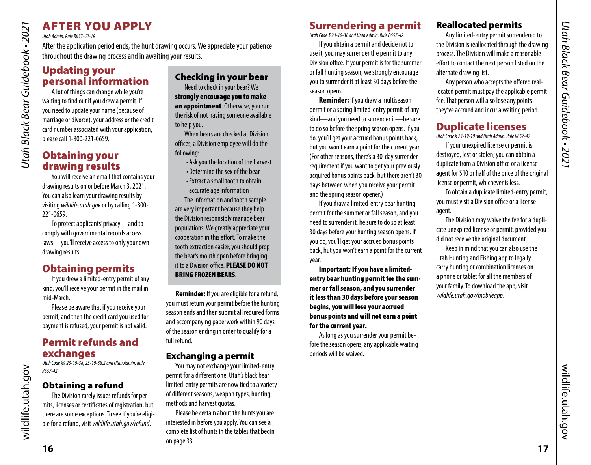# AFTER YOU APPLY

*Utah Admin. Rule R657-62-19*

*Utah Black Bear Guidebook • 2021*

<span id="page-8-0"></span>Utah Black Bear Guidebook • 2021

After the application period ends, the hunt drawing occurs. We appreciate your patience throughout the drawing process and in awaiting your results.

# Updating your personal information

A lot of things can change while you're waiting to find out if you drew a permit. If you need to update your name (because of marriage or divorce), your address or the credit card number associated with your application, please call 1-800-221-0659.

# Obtaining your drawing results

You will receive an email that contains your drawing results on or before March 3, 2021. You can also learn your drawing results by visiting *wildlife.utah.gov* or by calling 1-800- 221-0659.

To protect applicants' privacy—and to comply with governmental records access laws—you'll receive access to only your own drawing results.

# Obtaining permits

If you drew a limited-entry permit of any kind, you'll receive your permit in the mail in mid-March.

Please be aware that if you receive your permit, and then the credit card you used for payment is refused, your permit is not valid.

# Permit refunds and exchanges

*Utah Code §§ 23-19-38, 23-19-38.2 and Utah Admin. Rule R657-42*

#### Obtaining a refund

The Division rarely issues refunds for permits, licenses or certificates of registration, but there are some exceptions. To see if you're eligible for a refund, visit *[wildlife.utah.gov/refund](http://wildlife.utah.gov/refund)*.

#### Checking in your bear

Need to check in your bear? We strongly encourage you to make an appointment. Otherwise, you run the risk of not having someone available to help you.

When bears are checked at Division offices, a Division employee will do the following:

•Ask you the location of the harvest •Determine the sex of the bear

•Extract a small tooth to obtain accurate age information

The information and tooth sample are very important because they help the Division responsibly manage bear populations. We greatly appreciate your cooperation in this effort. To make the tooth extraction easier, you should prop the bear's mouth open before bringing it to a Division office. PLEASE DO NOT BRING FROZEN BEARS.

Reminder: If you are eligible for a refund, you must return your permit before the hunting season ends and then submit all required forms and accompanying paperwork within 90 days of the season ending in order to qualify for a full refund.

#### Exchanging a permit

You may not exchange your limited-entry permit for a different one. Utah's black bear limited-entry permits are now tied to a variety of different seasons, weapon types, hunting methods and harvest quotas.

Please be certain about the hunts you are interested in before you apply. You can see a complete list of hunts in the tables that begin on [page 33](#page-16-2).

# Surrendering a permit

*Utah Code § 23-19-38 and Utah Admin. Rule R657-42*

If you obtain a permit and decide not to use it, you may surrender the permit to any Division office. If your permit is for the summer or fall hunting season, we strongly encourage you to surrender it at least 30 days before the season opens.

Reminder: If you draw a multiseason permit or a spring limited-entry permit of any kind—and you need to surrender it—be sure to do so before the spring season opens. If you do, you'll get your accrued bonus points back, but you won't earn a point for the current year. (For other seasons, there's a 30-day surrender requirement if you want to get your previously acquired bonus points back, but there aren't 30 days between when you receive your permit and the spring season opener.)

If you draw a limited-entry bear hunting permit for the summer or fall season, and you need to surrender it, be sure to do so at least 30 days before your hunting season opens. If you do, you'll get your accrued bonus points back, but you won't earn a point for the current year.

Important: If you have a limitedentry bear hunting permit for the summer or fall season, and you surrender it less than 30 days before your season begins, you will lose your accrued bonus points and will not earn a point for the current year.

As long as you surrender your permit before the season opens, any applicable waiting periods will be waived.

#### Reallocated permits

Any limited-entry permit surrendered to the Division is reallocated through the drawing process. The Division will make a reasonable effort to contact the next person listed on the alternate drawing list.

Any person who accepts the offered reallocated permit must pay the applicable permit fee. That person will also lose any points they've accrued and incur a waiting period.

# Duplicate licenses

*Utah Code § 23-19-10 and Utah Admin. Rule R657-42*

If your unexpired license or permit is destroyed, lost or stolen, you can obtain a duplicate from a Division office or a license agent for \$10 or half of the price of the original license or permit, whichever is less.

To obtain a duplicate limited-entry permit, you must visit a Division office or a license agent.

The Division may waive the fee for a duplicate unexpired license or permit, provided you did not receive the original document.

Keep in mind that you can also use the Utah Hunting and Fishing app to legally carry hunting or combination licenses on a phone or tablet for all the members of your family. To download the app, visit *wildlife.utah.gov/mobileapp*.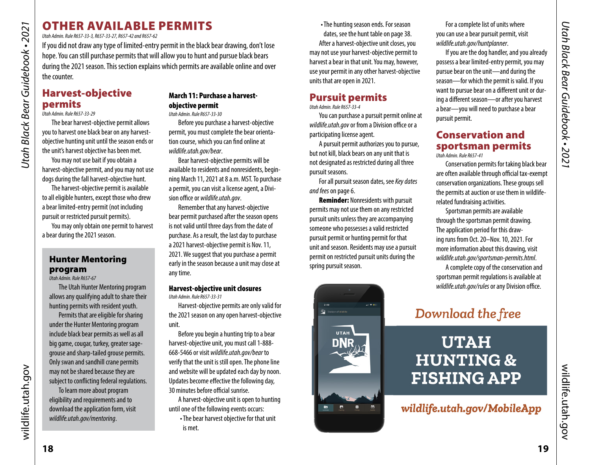# OTHER AVAILABLE PERMITS

*Utah Admin. Rule R657-33-3, R657-33-27, R657-42 and R657-62* 

If you did not draw any type of limited-entry permit in the black bear drawing, don't lose hope. You can still purchase permits that will allow you to hunt and pursue black bears during the 2021 season. This section explains which permits are available online and over the counter.

#### <span id="page-9-3"></span>Harvest-objective permits

*Utah Admin. Rule R657-33-29*

*Utah Black Bear Guidebook • 2021*

<span id="page-9-0"></span>Utah Black Bear Guidebook • 2021

The bear harvest-objective permit allows you to harvest one black bear on any harvestobjective hunting unit until the season ends or the unit's harvest objective has been met.

You may not use bait if you obtain a harvest-objective permit, and you may not use dogs during the fall harvest-objective hunt.

The harvest-objective permit is available to all eligible hunters, except those who drew a bear limited-entry permit (not including pursuit or restricted pursuit permits).

You may only obtain one permit to harvest a bear during the 2021 season.

#### <span id="page-9-1"></span>Hunter Mentoring program

*Utah Admin. Rule R657-67* The Utah Hunter Mentoring program allows any qualifying adult to share their hunting permits with resident youth.

Permits that are eligible for sharing under the Hunter Mentoring program include black bear permits as well as all big game, cougar, turkey, greater sagegrouse and sharp-tailed grouse permits. Only swan and sandhill crane permits may not be shared because they are subject to conflicting federal regulations.

To learn more about program eligibility and requirements and to download the application form, visit *wildlife.utah.gov/mentoring*.

#### March 11: Purchase a harvestobjective permit

*Utah Admin. Rule R657-33-30*

Before you purchase a harvest-objective permit, you must complete the bear orientation course, which you can find online at *wildlife.utah.gov/bear*.

Bear harvest-objective permits will be available to residents and nonresidents, beginning March 11, 2021 at 8 a.m. MST. To purchase a permit, you can visit a license agent, a Division office or *wildlife.utah.gov*.

Remember that any harvest-objective bear permit purchased after the season opens is not valid until three days from the date of purchase. As a result, the last day to purchase a 2021 harvest-objective permit is Nov. 11, 2021. We suggest that you purchase a permit early in the season because a unit may close at any time.

#### Harvest-objective unit closures *Utah Admin. Rule R657-33-31*

Harvest-objective permits are only valid for the 2021 season on any open harvest-objective unit.

Before you begin a hunting trip to a bear harvest-objective unit, you must call 1-888- 668-5466 or visit *wildlife.utah.gov/bear* to verify that the unit is still open. The phone line and website will be updated each day by noon. Updates become effective the following day, 30 minutes before official sunrise.

A harvest-objective unit is open to hunting until one of the following events occurs:

•The bear harvest objective for that unit is met.

•The hunting season ends. For season dates, see the hunt table on [page 38.](#page-19-0) After a harvest-objective unit closes, you may not use your harvest-objective permit to harvest a bear in that unit. You may, however, use your permit in any other harvest-objective units that are open in 2021.

#### <span id="page-9-2"></span>Pursuit permits

*Utah Admin. Rule R657-33-4*

You can purchase a pursuit permit online at *wildlife.utah.gov* or from a Division office or a participating license agent.

A pursuit permit authorizes you to pursue, but not kill, black bears on any unit that is not designated as restricted during all three pursuit seasons.

For all pursuit season dates, see *Key dates and fees* on [page 6](#page-3-3).

Reminder: Nonresidents with pursuit permits may not use them on any restricted pursuit units unless they are accompanying someone who possesses a valid restricted pursuit permit or hunting permit for that unit and season. Residents may use a pursuit permit on restricted pursuit units during the spring pursuit season.



For a complete list of units where you can use a bear pursuit permit, visit *wildlife.utah.gov/huntplanner*.

If you are the dog handler, and you already possess a bear limited-entry permit, you may pursue bear on the unit—and during the season—for which the permit is valid. If you want to pursue bear on a different unit or during a different season—or after you harvest a bear—you will need to purchase a bear pursuit permit.

#### Conservation and sportsman permits *Utah Admin. Rule R657-41*

Conservation permits for taking black bear are often available through official tax-exempt conservation organizations. These groups sell the permits at auction or use them in wildliferelated fundraising activities.

Sportsman permits are available through the sportsman permit drawing. The application period for this drawing runs from Oct. 20–Nov. 10, 2021. For more information about this drawing, visit *wildlife.utah.gov/sportsman-permits.html*.

A complete copy of the conservation and sportsman permit regulations is available at *wildlife.utah.gov/rules* or any Division office.

# Download the free

# **UTAH HUNTING & FISHING APP**

wildlife.utah.gov/MobileApp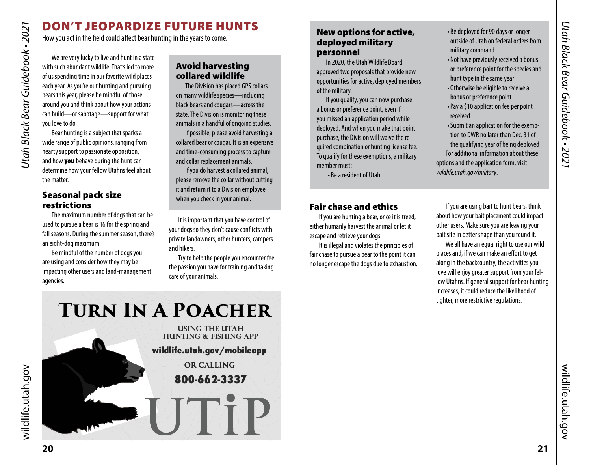# DON'T JEOPARDIZE FUTURE HUNTS

How you act in the field could affect bear hunting in the years to come.

We are very lucky to live and hunt in a state with such abundant wildlife. That's led to more of us spending time in our favorite wild places each year. As you're out hunting and pursuing bears this year, please be mindful of those around you and think about how your actions can build—or sabotage—support for what you love to do.

Bear hunting is a subject that sparks a wide range of public opinions, ranging from hearty support to passionate opposition, and how you behave during the hunt can determine how your fellow Utahns feel about the matter.

#### <span id="page-10-2"></span>Seasonal pack size restrictions

The maximum number of dogs that can be used to pursue a bear is 16 for the spring and fall seasons. During the summer season, there's an eight-dog maximum.

Be mindful of the number of dogs you are using and consider how they may be impacting other users and land-management agencies.

#### Avoid harvesting collared wildlife

The Division has placed GPS collars on many wildlife species—including black bears and cougars—across the state. The Division is monitoring these animals in a handful of ongoing studies.

If possible, please avoid harvesting a collared bear or cougar. It is an expensive and time-consuming process to capture and collar replacement animals.

If you do harvest a collared animal, please remove the collar without cutting it and return it to a Division employee when you check in your animal.

It is important that you have control of your dogs so they don't cause conflicts with private landowners, other hunters, campers and hikers.

Try to help the people you encounter feel the passion you have for training and taking care of your animals.

#### <span id="page-10-1"></span>New options for active, deployed military personnel

In 2020, the Utah Wildlife Board approved two proposals that provide new opportunities for active, deployed members of the military.

If you qualify, you can now purchase a bonus or preference point, even if you missed an application period while deployed. And when you make that point purchase, the Division will waive the required combination or hunting license fee. To qualify for these exemptions, a military member must:

•Be a resident of Utah

#### Fair chase and ethics

If you are hunting a bear, once it is treed, either humanly harvest the animal or let it escape and retrieve your dogs.

It is illegal and violates the principles of fair chase to pursue a bear to the point it can no longer escape the dogs due to exhaustion.

- •Be deployed for 90 days or longer outside of Utah on federal orders from military command
- •Not have previously received a bonus or preference point for the species and hunt type in the same year
- •Otherwise be eligible to receive a bonus or preference point
- •Pay a \$10 application fee per point received
- •Submit an application for the exemption to DWR no later than Dec. 31 of the qualifying year of being deployed For additional information about these options and the application form, visit *wildlife.utah.gov/military*.

If you are using bait to hunt bears, think about how your bait placement could impact other users. Make sure you are leaving your bait site in better shape than you found it.

We all have an equal right to use our wild places and, if we can make an effort to get along in the backcountry, the activities you love will enjoy greater support from your fellow Utahns. If general support for bear hunting increases, it could reduce the likelihood of tighter, more restrictive regulations.

*Utah Black Bear Guidebook • 2021*

<span id="page-10-0"></span>Utah Black Bear Guidebook • 2021

# **Turn In A Poacher**

**USING THE UTAH HUNTING & FISHING APP wildlife.utah.gov/mobileapp OR CALLING 800-662-3337 NUTIP** 

wildlife.utah.gov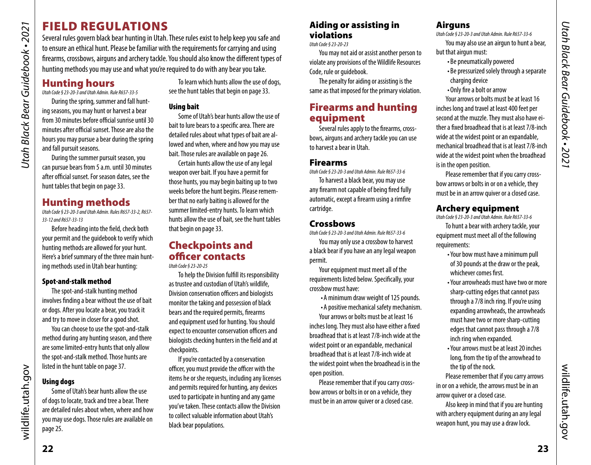# <span id="page-11-1"></span><span id="page-11-0"></span>FIELD REGULATIONS

Several rules govern black bear hunting in Utah. These rules exist to help keep you safe and to ensure an ethical hunt. Please be familiar with the requirements for carrying and using firearms, crossbows, airguns and archery tackle. You should also know the different types of hunting methods you may use and what you're required to do with any bear you take.

# Hunting hours

*Utah Code § 23-20-3 and Utah Admin. Rule R657-33-5*

During the spring, summer and fall hunting seasons, you may hunt or harvest a bear from 30 minutes before official sunrise until 30 minutes after official sunset. Those are also the hours you may pursue a bear during the spring and fall pursuit seasons.

During the summer pursuit season, you can pursue bears from 5 a.m. until 30 minutes after official sunset. For season dates, see the hunt tables that begin on [page 33.](#page-16-2)

# Hunting methods

*Utah Code § 23-20-3 and Utah Admin. Rules R657-33-2, R657- 33-12 and R657-33-13* 

Before heading into the field, check both your permit and the guidebook to verify which hunting methods are allowed for your hunt. Here's a brief summary of the three main hunting methods used in Utah bear hunting:

#### Spot-and-stalk method

The spot-and-stalk hunting method involves finding a bear without the use of bait or dogs. After you locate a bear, you track it and try to move in closer for a good shot.

You can choose to use the spot-and-stalk method during any hunting season, and there are some limited-entry hunts that only allow the spot-and-stalk method. Those hunts are listed in the hunt table on [page 37.](#page-18-2)

#### Using dogs

Some of Utah's bear hunts allow the use of dogs to locate, track and tree a bear. There are detailed rules about when, where and how you may use dogs. Those rules are available on [page 25.](#page-12-0)

To learn which hunts allow the use of dogs, see the hunt tables that begin on [page 33](#page-16-2).

#### Using bait

Some of Utah's bear hunts allow the use of bait to lure bears to a specific area. There are detailed rules about what types of bait are allowed and when, where and how you may use bait. Those rules are available on [page 26](#page-13-2).

Certain hunts allow the use of any legal weapon over bait. If you have a permit for those hunts, you may begin baiting up to two weeks before the hunt begins. Please remember that no early baiting is allowed for the summer limited-entry hunts. To learn which hunts allow the use of bait, see the hunt tables that begin on [page 33](#page-16-2).

#### Checkpoints and officer contacts

*Utah Code § 23-20-25*

To help the Division fulfill its responsibility as trustee and custodian of Utah's wildlife, Division conservation officers and biologists monitor the taking and possession of black bears and the required permits, firearms and equipment used for hunting. You should expect to encounter conservation officers and biologists checking hunters in the field and at checkpoints.

If you're contacted by a conservation officer, you must provide the officer with the items he or she requests, including any licenses and permits required for hunting, any devices used to participate in hunting and any game you've taken. These contacts allow the Division to collect valuable information about Utah's black bear populations.

#### Aiding or assisting in violations

*Utah Code § 23-20-23*

You may not aid or assist another person to violate any provisions of the Wildlife Resources Code, rule or guidebook.

The penalty for aiding or assisting is the same as that imposed for the primary violation.

#### Firearms and hunting equipment

Several rules apply to the firearms, crossbows, airguns and archery tackle you can use to harvest a bear in Utah.

#### Firearms

*Utah Code § 23-20-3 and Utah Admin. Rule R657-33-6*

To harvest a black bear, you may use any firearm not capable of being fired fully automatic, except a firearm using a rimfire cartridge.

#### **Crossbows**

*Utah Code § 23-20-3 and Utah Admin. Rule R657-33-6*

You may only use a crossbow to harvest a black bear if you have an any legal weapon permit.

Your equipment must meet all of the requirements listed below. Specifically, your crossbow must have:

- •A minimum draw weight of 125 pounds.
- •A positive mechanical safety mechanism.

Your arrows or bolts must be at least 16 inches long. They must also have either a fixed broadhead that is at least 7/8-inch wide at the widest point or an expandable, mechanical broadhead that is at least 7/8-inch wide at the widest point when the broadhead is in the open position.

Please remember that if you carry crossbow arrows or bolts in or on a vehicle, they must be in an arrow quiver or a closed case.

#### **Airguns**

*Utah Code § 23-20-3 and Utah Admin. Rule R657-33-6*

You may also use an airgun to hunt a bear, but that airgun must:

- •Be pneumatically powered
- •Be pressurized solely through a separate charging device
- •Only fire a bolt or arrow

Your arrows or bolts must be at least 16 inches long and travel at least 400 feet per second at the muzzle. They must also have either a fixed broadhead that is at least 7/8-inch wide at the widest point or an expandable, mechanical broadhead that is at least 7/8-inch wide at the widest point when the broadhead is in the open position.

Please remember that if you carry crossbow arrows or bolts in or on a vehicle, they must be in an arrow quiver or a closed case.

#### Archery equipment

*Utah Code § 23-20-3 and Utah Admin. Rule R657-33-6*

To hunt a bear with archery tackle, your equipment must meet all of the following requirements:

- •Your bow must have a minimum pull of 30 pounds at the draw or the peak, whichever comes first.
- •Your arrowheads must have two or more sharp-cutting edges that cannot pass through a 7/8 inch ring. If you're using expanding arrowheads, the arrowheads must have two or more sharp-cutting edges that cannot pass through a 7/8 inch ring when expanded.
- •Your arrows must be at least 20 inches long, from the tip of the arrowhead to the tip of the nock.

Please remember that if you carry arrows in or on a vehicle, the arrows must be in an arrow quiver or a closed case.

Also keep in mind that if you are hunting with archery equipment during an any legal weapon hunt, you may use a draw lock.

wildlife.utah.gov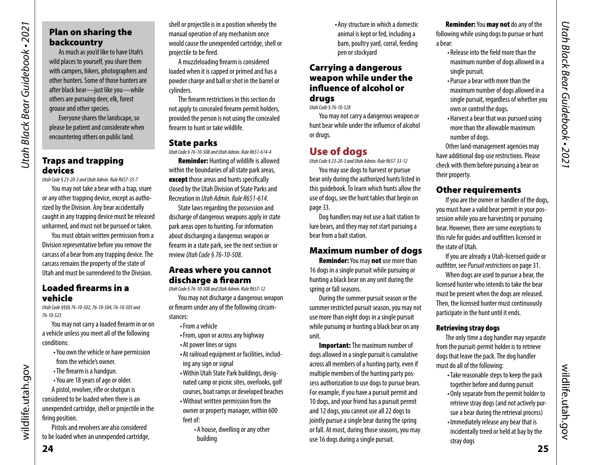# Plan on sharing the backcountry

As much as you'd like to have Utah's wild places to yourself, you share them with campers, hikers, photographers and other hunters. Some of those hunters are after black bear—just like you—while others are pursuing deer, elk, forest grouse and other species.

Everyone shares the landscape, so please be patient and considerate when encountering others on public land.

#### Traps and trapping devices

*Utah Black Bear Guidebook • 2021*

Utah Black Bear Guidebook • 2021

*Utah Code § 23-20-3 and Utah Admin. Rule R657-33-7*

You may not take a bear with a trap, snare or any other trapping device, except as authorized by the Division. Any bear accidentally caught in any trapping device must be released unharmed, and must not be pursued or taken.

You must obtain written permission from a Division representative before you remove the carcass of a bear from any trapping device. The carcass remains the property of the state of Utah and must be surrendered to the Division.

#### Loaded firearms in a vehicle

*Utah Code §§§§ 76-10-502, 76-10-504, 76-10-505 and 76-10-523*

You may not carry a loaded firearm in or on a vehicle unless you meet all of the following conditions:

- •You own the vehicle or have permission from the vehicle's owner.
- •The firearm is a handgun.
- •You are 18 years of age or older.

A pistol, revolver, rifle or shotgun is considered to be loaded when there is an unexpended cartridge, shell or projectile in the firing position.

Pistols and revolvers are also considered to be loaded when an unexpended cartridge, shell or projectile is in a position whereby the manual operation of any mechanism once would cause the unexpended cartridge, shell or projectile to be fired.

A muzzleloading firearm is considered loaded when it is capped or primed and has a powder charge and ball or shot in the barrel or cylinders.

The firearm restrictions in this section do not apply to concealed firearm permit holders, provided the person is not using the concealed firearm to hunt or take wildlife.

#### State parks

*Utah Code § 76-10-508 and Utah Admin. Rule R651-614-4* Reminder: Hunting of wildlife is allowed

within the boundaries of all state park areas, except those areas and hunts specifically closed by the Utah Division of State Parks and Recreation in *Utah Admin. Rule R651-614*.

State laws regarding the possession and discharge of dangerous weapons apply in state park areas open to hunting. For information about discharging a dangerous weapon or firearm in a state park, see the next section or review *Utah Code § 76-10-508*.

#### Areas where you cannot discharge a firearm

*Utah Code § 76-10-508 and Utah Admin. Rule R657-12* You may not discharge a dangerous weapon or firearm under any of the following circum-

- stances: •From a vehicle
	-
	- •From, upon or across any highway
	- •At power lines or signs
	- •At railroad equipment or facilities, including any sign or signal
	- •Within Utah State Park buildings, designated camp or picnic sites, overlooks, golf courses, boat ramps or developed beaches
	- •Without written permission from the owner or property manager, within 600 feet of:
		- •A house, dwelling or any other building

•Any structure in which a domestic animal is kept or fed, including a barn, poultry yard, corral, feeding pen or stockyard

#### Carrying a dangerous weapon while under the influence of alcohol or druas

*Utah Code § 76-10-528*

You may not carry a dangerous weapon or hunt bear while under the influence of alcohol or drugs.

# <span id="page-12-0"></span>Use of dogs

*Utah Code § 23-20-3 and Utah Admin. Rule R657-33-12*

You may use dogs to harvest or pursue bear only during the authorized hunts listed in this guidebook. To learn which hunts allow the use of dogs, see the hunt tables that begin on [page 33.](#page-16-2)

Dog handlers may not use a bait station to lure bears, and they may not start pursuing a bear from a bait station.

#### Maximum number of dogs

Reminder: You may not use more than 16 dogs in a single pursuit while pursuing or hunting a black bear on any unit during the spring or fall seasons.

During the summer pursuit season or the summer restricted pursuit season, you may not use more than eight dogs in a single pursuit while pursuing or hunting a black bear on any unit.

**Important:** The maximum number of dogs allowed in a single pursuit is cumulative across all members of a hunting party, even if multiple members of the hunting party possess authorization to use dogs to pursue bears. For example, if you have a pursuit permit and 10 dogs, and your friend has a pursuit permit and 12 dogs, you cannot use all 22 dogs to jointly pursue a single bear during the spring or fall. At most, during those seasons, you may use 16 dogs during a single pursuit.

Reminder: You may not do any of the following while using dogs to pursue or hunt a bear:

- Release into the field more than the maximum number of dogs allowed in a single pursuit.
- •Pursue a bear with more than the maximum number of dogs allowed in a single pursuit, regardless of whether you own or control the dogs.
- •Harvest a bear that was pursued using more than the allowable maximum number of dogs.

Other land-management agencies may have additional dog-use restrictions. Please check with them before pursuing a bear on their property.

#### Other requirements

If you are the owner or handler of the dogs, you must have a valid bear permit in your possession while you are harvesting or pursuing bear. However, there are some exceptions to this rule for guides and outfitters licensed in the state of Utah.

If you are already a Utah-licensed guide or outfitter, see *Pursuit restrictions* on [page 31](#page-15-3).

When dogs are used to pursue a bear, the licensed hunter who intends to take the bear must be present when the dogs are released. Then, the licensed hunter must continuously participate in the hunt until it ends.

#### Retrieving stray dogs

The only time a dog handler may separate from the pursuit-permit holder is to retrieve dogs that leave the pack. The dog handler must do all of the following:

- •Take reasonable steps to keep the pack together before and during pursuit
- •Only separate from the permit holder to retrieve stray dogs (and not actively pursue a bear during the retrieval process)
- •Immediately release any bear that is incidentally treed or held at bay by the stray dogs

wildlife.utah.gov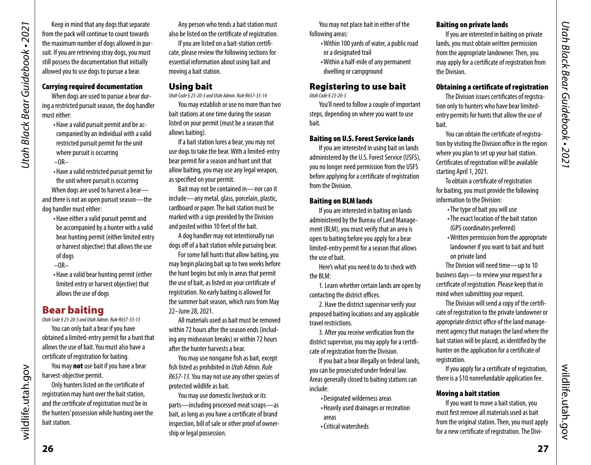<span id="page-13-0"></span>Keep in mind that any dogs that separate from the pack will continue to count towards the maximum number of dogs allowed in pursuit. If you are retrieving stray dogs, you must still possess the documentation that initially allowed you to use dogs to pursue a bear.

#### Carrying required documentation

When dogs are used to pursue a bear during a restricted pursuit season, the dog handler must either:

> •Have a valid pursuit permit and be accompanied by an individual with a valid restricted pursuit permit for the unit where pursuit is occurring

 $-OR-$ 

- •Have a valid restricted pursuit permit for the unit where pursuit is occurring When dogs are used to harvest a bear and there is not an open pursuit season—the dog handler must either:
	- •Have either a valid pursuit permit and be accompanied by a hunter with a valid bear hunting permit (either limited entry or harvest objective) that allows the use of dogs
	- $-OR-$
	- •Have a valid bear hunting permit (either limited entry or harvest objective) that allows the use of dogs

#### <span id="page-13-2"></span>Bear baiting

*Utah Code § 23-20-3 and Utah Admin. Rule R657-33-13*

You can only bait a bear if you have obtained a limited-entry permit for a hunt that allows the use of bait. You must also have a certificate of registration for baiting.

You may **not** use bait if you have a bear harvest-objective permit.

Only hunters listed on the certificate of registration may hunt over the bait station, and the certificate of registration must be in the hunters' possession while hunting over the bait station.

Any person who tends a bait station must also be listed on the certificate of registration.

If you are listed on a bait-station certificate, please review the following sections for essential information about using bait and moving a bait station.

#### Using bait

*Utah Code § 23-20-3 and Utah Admin. Rule R657-33-14* You may establish or use no more than two

bait stations at one time during the season listed on your permit (must be a season that allows baiting).

If a bait station lures a bear, you may not use dogs to take the bear. With a limited-entry bear permit for a season and hunt unit that allow baiting, you may use any legal weapon, as specified on your permit.

Bait may not be contained in—nor can it include—any metal, glass, porcelain, plastic, cardboard or paper. The bait station must be marked with a sign provided by the Division and posted within 10 feet of the bait.

A dog handler may not intentionally run dogs off of a bait station while pursuing bear.

For some fall hunts that allow baiting, you may begin placing bait up to two weeks before the hunt begins but only in areas that permit the use of bait, as listed on your certificate of registration. No early baiting is allowed for the summer bait season, which runs from May 22–June 28, 2021.

All materials used as bait must be removed within 72 hours after the season ends (including any midseason breaks) or within 72 hours after the hunter harvests a bear.

You may use nongame fish as bait, except fish listed as prohibited in *Utah Admin. Rule R657-13*. You may not use any other species of protected wildlife as bait.

You may use domestic livestock or its parts—including processed meat scraps—as bait, as long as you have a certificate of brand inspection, bill of sale or other proof of ownership or legal possession.

You may not place bait in either of the following areas:

- •Within 100 yards of water, a public road or a designated trail
- •Within a half-mile of any permanent dwelling or campground

#### Registering to use bait *Utah Code § 23-20-3*

You'll need to follow a couple of important steps, depending on where you want to use bait.

#### Baiting on U.S. Forest Service lands

If you are interested in using bait on lands administered by the U.S. Forest Service (USFS), you no longer need permission from the USFS before applying for a certificate of registration from the Division.

#### Baiting on BLM lands

If you are interested in baiting on lands administered by the Bureau of Land Management (BLM), you must verify that an area is open to baiting before you apply for a bear limited-entry permit for a season that allows the use of bait.

Here's what you need to do to check with the BLM:

1. Learn whether certain lands are open by contacting the district offices.

2. Have the district supervisor verify your proposed baiting locations and any applicable travel restrictions.

3. After you receive verification from the district supervisor, you may apply for a certificate of registration from the Division.

If you bait a bear illegally on federal lands, you can be prosecuted under federal law. Areas generally closed to baiting stations can include:

- •Designated wilderness areas
- •Heavily used drainages or recreation areas
- •Critical watersheds

#### Baiting on private lands

If you are interested in baiting on private lands, you must obtain written permission from the appropriate landowner. Then, you may apply for a certificate of registration from the Division.

#### <span id="page-13-1"></span>Obtaining a certificate of registration

The Division issues certificates of registration only to hunters who have bear limitedentry permits for hunts that allow the use of bait.

You can obtain the certificate of registration by visiting the Division office in the region where you plan to set up your bait station. Certificates of registration will be available starting April 1, 2021.

To obtain a certificate of registration for baiting, you must provide the following information to the Division:

- •The type of bait you will use
- •The exact location of the bait station (GPS coordinates preferred)
- •Written permission from the appropriate landowner if you want to bait and hunt on private land

The Division will need time—up to 10 business days—to review your request for a certificate of registration. Please keep that in mind when submitting your request.

The Division will send a copy of the certificate of registration to the private landowner or appropriate district office of the land management agency that manages the land where the bait station will be placed, as identified by the hunter on the application for a certificate of registration.

If you apply for a certificate of registration, there is a \$10 nonrefundable application fee.

#### Moving a bait station

If you want to move a bait station, you must first remove all materials used as bait from the original station. Then, you must apply for a new certificate of registration. The Diviwildlife.utah.gov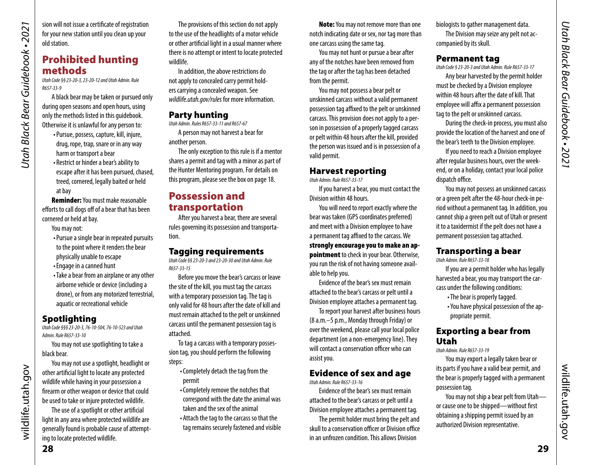<span id="page-14-0"></span>sion will not issue a certificate of registration for your new station until you clean up your old station.

#### Prohibited hunting methods

*Utah Code §§ 23-20-3, 23-20-12 and Utah Admin. Rule R657-33-9*

A black bear may be taken or pursued only during open seasons and open hours, using only the methods listed in this guidebook. Otherwise it is unlawful for any person to:

- •Pursue, possess, capture, kill, injure, drug, rope, trap, snare or in any way harm or transport a bear
- Restrict or hinder a bear's ability to escape after it has been pursued, chased, treed, cornered, legally baited or held at bay

Reminder: You must make reasonable efforts to call dogs off of a bear that has been cornered or held at bay.

You may not:

- •Pursue a single bear in repeated pursuits to the point where it renders the bear physically unable to escape
- •Engage in a canned hunt
- •Take a bear from an airplane or any other airborne vehicle or device (including a drone), or from any motorized terrestrial, aquatic or recreational vehicle

#### Spotlighting

*Utah Code §§§ 23-20-3, 76-10-504, 76-10-523 and Utah Admin. Rule R657-33-10*

You may not use spotlighting to take a black bear.

You may not use a spotlight, headlight or other artificial light to locate any protected wildlife while having in your possession a firearm or other weapon or device that could be used to take or injure protected wildlife.

The use of a spotlight or other artificial light in any area where protected wildlife are generally found is probable cause of attempting to locate protected wildlife.

The provisions of this section do not apply to the use of the headlights of a motor vehicle or other artificial light in a usual manner where there is no attempt or intent to locate protected wildlife.

In addition, the above restrictions do not apply to concealed carry permit holders carrying a concealed weapon. See *[wildlife.utah.gov/rules](http://wildlife.utah.gov/rules)* for more information.

#### Party hunting

*Utah Admin. Rules R657-33-11 and R657-67* A person may not harvest a bear for another person.

The only exception to this rule is if a mentor shares a permit and tag with a minor as part of the Hunter Mentoring program. For details on this program, please see the box on page [18](#page-9-1).

#### Possession and transportation

After you harvest a bear, there are several rules governing its possession and transportation.

#### Tagging requirements

*Utah Code §§ 23-20-3 and 23-20-30 and Utah Admin. Rule R657-33-15*

Before you move the bear's carcass or leave the site of the kill, you must tag the carcass with a temporary possession tag. The tag is only valid for 48 hours after the date of kill and must remain attached to the pelt or unskinned carcass until the permanent possession tag is attached.

To tag a carcass with a temporary possession tag, you should perform the following steps:

- •Completely detach the tag from the permit
- •Completely remove the notches that correspond with the date the animal was taken and the sex of the animal
- •Attach the tag to the carcass so that the tag remains securely fastened and visible

Note: You may not remove more than one notch indicating date or sex, nor tag more than one carcass using the same tag.

You may not hunt or pursue a bear after any of the notches have been removed from the tag or after the tag has been detached from the permit.

You may not possess a bear pelt or unskinned carcass without a valid permanent possession tag affixed to the pelt or unskinned carcass. This provision does not apply to a person in possession of a properly tagged carcass or pelt within 48 hours after the kill, provided the person was issued and is in possession of a valid permit.

#### Harvest reporting

*Utah Admin. Rule R657-33-17*

If you harvest a bear, you must contact the Division within 48 hours.

You will need to report exactly where the bear was taken (GPS coordinates preferred) and meet with a Division employee to have a permanent tag affixed to the carcass. We strongly encourage you to make an ap**pointment** to check in your bear. Otherwise, you run the risk of not having someone available to help you.

Evidence of the bear's sex must remain attached to the bear's carcass or pelt until a Division employee attaches a permanent tag.

To report your harvest after business hours (8 a.m.–5 p.m., Monday through Friday) or over the weekend, please call your local police department (on a non-emergency line). They will contact a conservation officer who can assist you.

#### Evidence of sex and age

*Utah Admin. Rule R657-33-16*

Evidence of the bear's sex must remain attached to the bear's carcass or pelt until a Division employee attaches a permanent tag.

The permit holder must bring the pelt and skull to a conservation officer or Division office in an unfrozen condition. This allows Division

biologists to gather management data. The Division may seize any pelt not accompanied by its skull.

#### Permanent tag

*Utah Code § 23-20-3 and Utah Admin. Rule R657-33-17*

Any bear harvested by the permit holder must be checked by a Division employee within 48 hours after the date of kill. That employee will affix a permanent possession tag to the pelt or unskinned carcass.

During the check-in process, you must also provide the location of the harvest and one of the bear's teeth to the Division employee.

If you need to reach a Division employee after regular business hours, over the weekend, or on a holiday, contact your local police dispatch office.

You may not possess an unskinned carcass or a green pelt after the 48-hour check-in period without a permanent tag. In addition, you cannot ship a green pelt out of Utah or present it to a taxidermist if the pelt does not have a permanent possession tag attached.

#### Transporting a bear

*Utah Admin. Rule R657-33-18*

If you are a permit holder who has legally harvested a bear, you may transport the carcass under the following conditions:

- •The bear is properly tagged.
- •You have physical possession of the appropriate permit.

#### Exporting a bear from Utah

*Utah Admin. Rule R657-33-19*

You may export a legally taken bear or its parts if you have a valid bear permit, and the bear is properly tagged with a permanent possession tag.

You may not ship a bear pelt from Utah or cause one to be shipped—without first obtaining a shipping permit issued by an authorized Division representative.

wildlife.utah.gov

wildlife.utah.gov

wildlife.utah.gov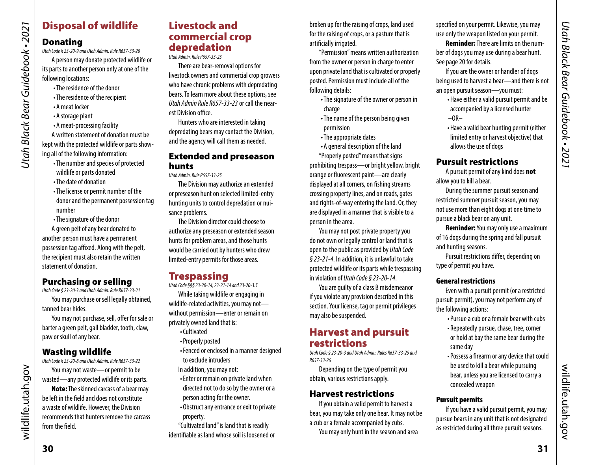# Disposal of wildlife

#### Donating

*Utah Black Bear Guidebook • 2021*

<span id="page-15-0"></span>Utah Black Bear Guidebook • 2021

*Utah Code § 23-20-9 and Utah Admin. Rule R657-33-20*

A person may donate protected wildlife or its parts to another person only at one of the following locations:

- •The residence of the donor
- •The residence of the recipient
- •A meat locker
- •A storage plant
- •A meat-processing facility

A written statement of donation must be kept with the protected wildlife or parts showing all of the following information:

- •The number and species of protected wildlife or parts donated
- •The date of donation
- •The license or permit number of the donor and the permanent possession tag number
- •The signature of the donor

A green pelt of any bear donated to another person must have a permanent possession tag affixed. Along with the pelt, the recipient must also retain the written statement of donation.

#### Purchasing or selling

*Utah Code § 23-20-3 and Utah Admin. Rule R657-33-21*

You may purchase or sell legally obtained, tanned bear hides.

You may not purchase, sell, offer for sale or barter a green pelt, gall bladder, tooth, claw, paw or skull of any bear.

#### Wasting wildlife

*Utah Code § 23-20-8 and Utah Admin. Rule R657-33-22*

You may not waste—or permit to be wasted—any protected wildlife or its parts.

Note: The skinned carcass of a bear may be left in the field and does not constitute a waste of wildlife. However, the Division recommends that hunters remove the carcass from the field.

#### Livestock and commercial crop depredation

*Utah Admin. Rule R657-33-23*

There are bear-removal options for livestock owners and commercial crop growers who have chronic problems with depredating bears. To learn more about these options, see *Utah Admin Rule R657-33-23* or call the nearest Division office.

Hunters who are interested in taking depredating bears may contact the Division, and the agency will call them as needed.

#### Extended and preseason hunts

*Utah Admin. Rule R657-33-25*

The Division may authorize an extended or preseason hunt on selected limited-entry hunting units to control depredation or nuisance problems.

The Division director could choose to authorize any preseason or extended season hunts for problem areas, and those hunts would be carried out by hunters who drew limited-entry permits for those areas.

# <span id="page-15-2"></span>**Trespassing**

*Utah Code §§§ 23-20-14, 23-21-14 and 23-20-3.5*

While taking wildlife or engaging in wildlife-related activities, you may not without permission—enter or remain on privately owned land that is:

- •Cultivated
- •Properly posted
- •Fenced or enclosed in a manner designed to exclude intruders
- In addition, you may not:
- •Enter or remain on private land when directed not to do so by the owner or a
- person acting for the owner.
- •Obstruct any entrance or exit to private property.

"Cultivated land" is land that is readily identifiable as land whose soil is loosened or broken up for the raising of crops, land used for the raising of crops, or a pasture that is artificially irrigated.

"Permission" means written authorization from the owner or person in charge to enter upon private land that is cultivated or properly posted. Permission must include all of the following details:

- •The signature of the owner or person in charge
- •The name of the person being given permission
- •The appropriate dates
- •A general description of the land
- "Properly posted" means that signs

prohibiting trespass—or bright yellow, bright orange or fluorescent paint—are clearly displayed at all corners, on fishing streams crossing property lines, and on roads, gates and rights-of-way entering the land. Or, they are displayed in a manner that is visible to a person in the area.

You may not post private property you do not own or legally control or land that is open to the public as provided by *Utah Code § 23-21-4*. In addition, it is unlawful to take protected wildlife or its parts while trespassing in violation of *Utah Code § 23-20-14*.

You are guilty of a class B misdemeanor if you violate any provision described in this section. Your license, tag or permit privileges may also be suspended.

#### <span id="page-15-1"></span>Harvest and pursuit restrictions

*Utah Code § 23-20-3 and Utah Admin. Rules R657-33-25 and R657-33-26* 

Depending on the type of permit you obtain, various restrictions apply.

#### Harvest restrictions

If you obtain a valid permit to harvest a bear, you may take only one bear. It may not be a cub or a female accompanied by cubs.

You may only hunt in the season and area

specified on your permit. Likewise, you may use only the weapon listed on your permit.

Reminder: There are limits on the number of dogs you may use during a bear hunt. See page [20](#page-10-2) for details.

If you are the owner or handler of dogs being used to harvest a bear—and there is not an open pursuit season—you must:

- •Have either a valid pursuit permit and be accompanied by a licensed hunter  $-OR-$
- •Have a valid bear hunting permit (either limited entry or harvest objective) that allows the use of dogs

#### <span id="page-15-3"></span>Pursuit restrictions

A pursuit permit of any kind does not allow you to kill a bear.

During the summer pursuit season and restricted summer pursuit season, you may not use more than eight dogs at one time to pursue a black bear on any unit.

**Reminder:** You may only use a maximum of 16 dogs during the spring and fall pursuit and hunting seasons.

Pursuit restrictions differ, depending on type of permit you have.

#### General restrictions

Even with a pursuit permit (or a restricted pursuit permit), you may not perform any of the following actions:

- •Pursue a cub or a female bear with cubs • Repeatedly pursue, chase, tree, corner or hold at bay the same bear during the same day
- •Possess a firearm or any device that could be used to kill a bear while pursuing bear, unless you are licensed to carry a concealed weapon

#### Pursuit permits

If you have a valid pursuit permit, you may pursue bears in any unit that is not designated as restricted during all three pursuit seasons.

wildlife.utah.gov

wildlife.utah.gov

wildlife.utah.gov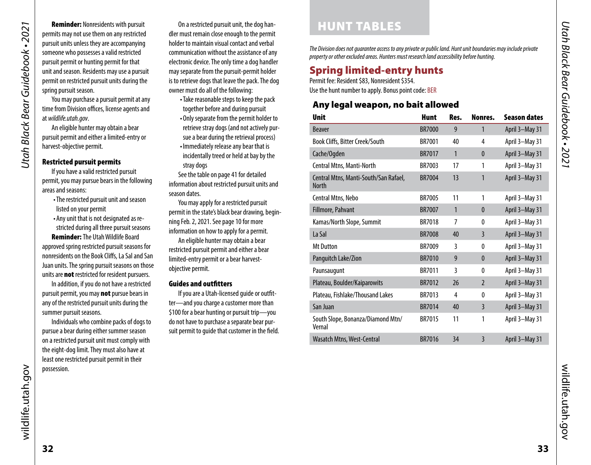<span id="page-16-0"></span>Reminder: Nonresidents with pursuit permits may not use them on any restricted pursuit units unless they are accompanying someone who possesses a valid restricted pursuit permit or hunting permit for that unit and season. Residents may use a pursuit permit on restricted pursuit units during the spring pursuit season.

You may purchase a pursuit permit at any time from Division offices, license agents and at *[wildlife.utah.gov](http://wildlife.utah.gov)*.

An eligible hunter may obtain a bear pursuit permit and either a limited-entry or harvest-objective permit.

#### <span id="page-16-3"></span>Restricted pursuit permits

If you have a valid restricted pursuit permit, you may pursue bears in the following areas and seasons:

- •The restricted pursuit unit and season listed on your permit
- •Any unit that is not designated as restricted during all three pursuit seasons

Reminder: The Utah Wildlife Board approved spring restricted pursuit seasons for nonresidents on the Book Cliffs, La Sal and San Juan units. The spring pursuit seasons on those units are **not** restricted for resident pursuers.

In addition, if you do not have a restricted pursuit permit, you may **not** pursue bears in any of the restricted pursuit units during the summer pursuit seasons.

Individuals who combine packs of dogs to pursue a bear during either summer season on a restricted pursuit unit must comply with the eight-dog limit. They must also have at least one restricted pursuit permit in their possession.

On a restricted pursuit unit, the dog handler must remain close enough to the permit holder to maintain visual contact and verbal communication without the assistance of any electronic device. The only time a dog handler may separate from the pursuit-permit holder is to retrieve dogs that leave the pack. The dog owner must do all of the following:

- •Take reasonable steps to keep the pack together before and during pursuit
- •Only separate from the permit holder to retrieve stray dogs (and not actively pursue a bear during the retrieval process)
- •Immediately release any bear that is incidentally treed or held at bay by the stray dogs

See the table on [page 41](#page-20-1) for detailed information about restricted pursuit units and season dates.

You may apply for a restricted pursuit permit in the state's black bear drawing, beginning Feb. 2, 2021. See [page 10](#page-5-2) for more information on how to apply for a permit. An eligible hunter may obtain a bear restricted pursuit permit and either a bear limited-entry permit or a bear harvestobjective permit.

#### <span id="page-16-1"></span>Guides and outfitters

If you are a Utah-licensed guide or outfitter—and you charge a customer more than \$100 for a bear hunting or pursuit trip—you do not have to purchase a separate bear pursuit permit to guide that customer in the field.

# <span id="page-16-2"></span>HUNT TABLES

*The Division does not guarantee access to any private or public land. Hunt unit boundaries may include private property or other excluded areas. Hunters must research land accessibility before hunting.*

# Spring limited-entry hunts

Permit fee: Resident \$83, Nonresident \$354. Use the hunt number to apply. Bonus point code: BER

#### Any legal weapon, no bait allowed

| <b>Unit</b>                                           | <b>Hunt</b>   | Res.         | Nonres.        | <b>Season dates</b> |
|-------------------------------------------------------|---------------|--------------|----------------|---------------------|
| <b>Beaver</b>                                         | <b>BR7000</b> | 9            | 1              | April 3-May 31      |
| Book Cliffs, Bitter Creek/South                       | <b>BR7001</b> | 40           | 4              | April 3-May 31      |
| Cache/Ogden                                           | BR7017        | $\mathbf{1}$ | $\mathbf{0}$   | April 3-May 31      |
| Central Mtns, Manti-North                             | BR7003        | 17           | 1              | April 3-May 31      |
| Central Mtns, Manti-South/San Rafael,<br><b>North</b> | <b>BR7004</b> | 13           | 1              | April 3-May 31      |
| Central Mtns, Nebo                                    | <b>BR7005</b> | 11           | 1              | April 3-May 31      |
| Fillmore, Pahvant                                     | <b>BR7007</b> | $\mathbf{1}$ | $\bf{0}$       | April 3-May 31      |
| Kamas/North Slope, Summit                             | <b>BR7018</b> | 7            | 0              | April 3-May 31      |
| La Sal                                                | <b>BR7008</b> | 40           | 3              | April 3-May 31      |
| <b>Mt Dutton</b>                                      | BR7009        | 3            | 0              | April 3-May 31      |
| Panguitch Lake/Zion                                   | <b>BR7010</b> | 9            | $\mathbf{0}$   | April 3-May 31      |
| Paunsaugunt                                           | BR7011        | 3            | 0              | April 3-May 31      |
| Plateau, Boulder/Kaiparowits                          | <b>BR7012</b> | 26           | $\overline{2}$ | April 3-May 31      |
| Plateau, Fishlake/Thousand Lakes                      | BR7013        | 4            | 0              | April 3-May 31      |
| San Juan                                              | <b>BR7014</b> | 40           | $\overline{3}$ | April 3-May 31      |
| South Slope, Bonanza/Diamond Mtn/<br>Vernal           | BR7015        | 11           | 1              | April 3-May 31      |
| Wasatch Mtns, West-Central                            | <b>BR7016</b> | 34           | 3              | April 3-May 31      |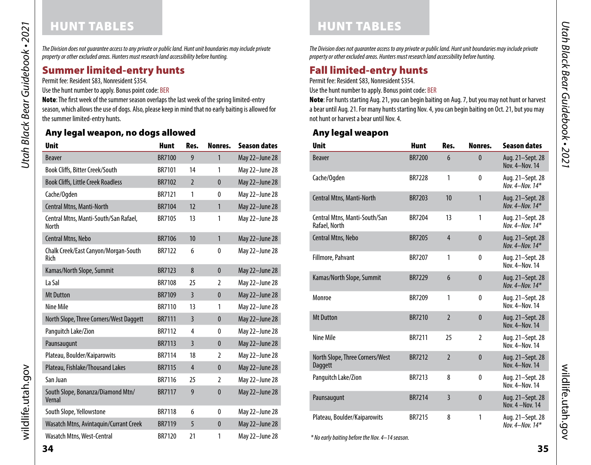# HUNT TABLES

Utah Black Bear Guidebook • 2021 *Utah Black Bear Guidebook • 2021*

*The Division does not guarantee access to any private or public land. Hunt unit boundaries may include private property or other excluded areas. Hunters must research land accessibility before hunting.*

#### Summer limited-entry hunts

Permit fee: Resident \$83, Nonresident \$354.

Use the hunt number to apply. Bonus point code: BER

Note: The first week of the summer season overlaps the last week of the spring limited-entry season, which allows the use of dogs. Also, please keep in mind that no early baiting is allowed for the summer limited-entry hunts.

#### Any legal weapon, no dogs allowed

| <b>Unit</b>                                           | <b>Hunt</b>   | Res.           | Nonres.      | <b>Season dates</b> |
|-------------------------------------------------------|---------------|----------------|--------------|---------------------|
| <b>Beaver</b>                                         | <b>BR7100</b> | 9              | 1            | May 22-June 28      |
| <b>Book Cliffs, Bitter Creek/South</b>                | BR7101        | 14             | 1            | May 22-June 28      |
| <b>Book Cliffs, Little Creek Roadless</b>             | <b>BR7102</b> | $\overline{2}$ | $\mathbf{0}$ | May 22-June 28      |
| Cache/Ogden                                           | BR7121        | 1              | $\mathbf{0}$ | May 22-June 28      |
| Central Mtns, Manti-North                             | <b>BR7104</b> | 12             | $\mathbf{1}$ | May 22-June 28      |
| Central Mtns, Manti-South/San Rafael,<br><b>North</b> | <b>BR7105</b> | 13             | 1            | May 22-June 28      |
| Central Mtns, Nebo                                    | <b>BR7106</b> | 10             | $\mathbf{1}$ | May 22-June 28      |
| Chalk Creek/East Canyon/Morgan-South<br>Rich          | <b>BR7122</b> | 6              | $\mathbf{0}$ | May 22-June 28      |
| Kamas/North Slope, Summit                             | <b>BR7123</b> | 8              | $\mathbf{0}$ | May 22-June 28      |
| La Sal                                                | <b>BR7108</b> | 25             | 2            | May 22-June 28      |
| <b>Mt Dutton</b>                                      | <b>BR7109</b> | $\overline{3}$ | $\mathbf{0}$ | May 22-June 28      |
| Nine Mile                                             | BR7110        | 13             | 1            | May 22-June 28      |
| North Slope, Three Corners/West Daggett               | <b>BR7111</b> | $\overline{3}$ | $\mathbf{0}$ | May 22-June 28      |
| Panguitch Lake/Zion                                   | <b>BR7112</b> | 4              | $\mathbf{0}$ | May 22-June 28      |
| Paunsaugunt                                           | <b>BR7113</b> | $\overline{3}$ | $\mathbf{0}$ | May 22-June 28      |
| Plateau, Boulder/Kaiparowits                          | <b>BR7114</b> | 18             | 2            | May 22-June 28      |
| Plateau, Fishlake/Thousand Lakes                      | <b>BR7115</b> | $\overline{4}$ | $\bf{0}$     | May 22-June 28      |
| San Juan                                              | <b>BR7116</b> | 25             | 2            | May 22-June 28      |
| South Slope, Bonanza/Diamond Mtn/<br>Vernal           | <b>BR7117</b> | 9              | $\bf{0}$     | May 22-June 28      |
| South Slope, Yellowstone                              | <b>BR7118</b> | 6              | $\bf{0}$     | May 22-June 28      |
| Wasatch Mtns, Avintaguin/Currant Creek                | <b>BR7119</b> | 5              | $\bf{0}$     | May 22-June 28      |
| Wasatch Mtns, West-Central                            | <b>BR7120</b> | 21             | 1            | May 22-June 28      |

HUNT TABLES

*The Division does not guarantee access to any private or public land. Hunt unit boundaries may include private property or other excluded areas. Hunters must research land accessibility before hunting.*

# Fall limited-entry hunts

Permit fee: Resident \$83, Nonresident \$354.

Use the hunt number to apply. Bonus point code: BER

Note: For hunts starting Aug. 21, you can begin baiting on Aug. 7, but you may not hunt or harvest a bear until Aug. 21. For many hunts starting Nov. 4, you can begin baiting on Oct. 21, but you may not hunt or harvest a bear until Nov. 4.

#### Any legal weapon

| <b>Unit</b>                                       | <b>Hunt</b>   | Res.           | Nonres.        | <b>Season dates</b>                       |
|---------------------------------------------------|---------------|----------------|----------------|-------------------------------------------|
| <b>Beaver</b>                                     | <b>BR7200</b> | 6              | $\mathbf{0}$   | Aug. 21-Sept. 28<br>Nov. 4-Nov. 14        |
| Cache/Ogden                                       | <b>BR7228</b> | 1              | $\mathbf{0}$   | Aug. 21-Sept. 28<br>Nov. $4 -$ Nov. $14*$ |
| Central Mtns, Manti-North                         | <b>BR7203</b> | 10             | $\mathbf{1}$   | Aug. 21-Sept. 28<br>Nov. 4-Nov. 14*       |
| Central Mtns, Manti-South/San<br>Rafael, North    | BR7204        | 13             | 1              | Aug. 21-Sept. 28<br>Nov. 4-Nov. 14*       |
| Central Mtns, Nebo                                | <b>BR7205</b> | $\overline{4}$ | $\mathbf{0}$   | Aug. 21-Sept. 28<br>Nov. $4 -$ Nov. $14*$ |
| Fillmore, Pahvant                                 | <b>BR7207</b> | 1              | $\mathbf{0}$   | Aug. 21-Sept. 28<br>Nov. 4-Nov. 14        |
| Kamas/North Slope, Summit                         | <b>BR7229</b> | 6              | $\mathbf{0}$   | Aug. 21-Sept. 28<br>Nov. 4-Nov. 14*       |
| Monroe                                            | <b>BR7209</b> | 1              | $\mathbf{0}$   | Aug. 21–Sept. 28<br>Nov. 4-Nov. 14        |
| <b>Mt Dutton</b>                                  | <b>BR7210</b> | $\overline{2}$ | $\mathbf{0}$   | Aug. 21-Sept. 28<br>Nov. 4-Nov. 14        |
| Nine Mile                                         | <b>BR7211</b> | 25             | $\overline{2}$ | Aug. 21-Sept. 28<br>Nov. 4-Nov. 14        |
| North Slope, Three Corners/West<br><b>Daggett</b> | <b>BR7212</b> | $\overline{2}$ | $\mathbf{0}$   | Aug. 21-Sept. 28<br>Nov. 4-Nov. 14        |
| Panguitch Lake/Zion                               | BR7213        | 8              | $\mathbf{0}$   | Aug. 21-Sept. 28<br>Nov. 4-Nov. 14        |
| Paunsaugunt                                       | <b>BR7214</b> | $\overline{3}$ | $\mathbf{0}$   | Aug. 21-Sept. 28<br>Nov. 4 - Nov. 14      |
| Plateau, Boulder/Kaiparowits                      | <b>BR7215</b> | 8              | 1              | Aug. 21-Sept. 28<br>Nov. 4-Nov. 14*       |

*\* No early baiting before the Nov. 4–14 season.* 

wildlife.utah.gov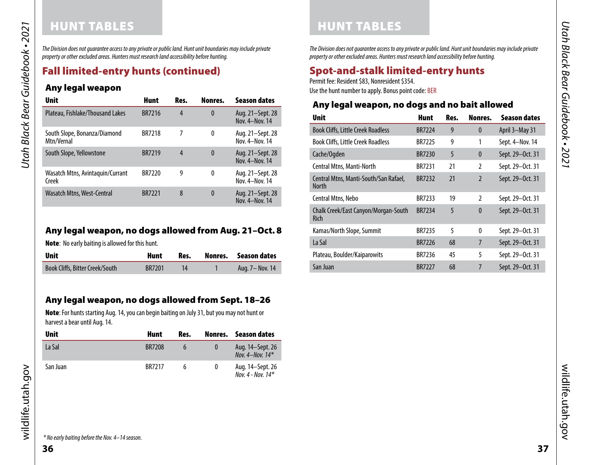# HUNT TABLES

*The Division does not guarantee access to any private or public land. Hunt unit boundaries may include private property or other excluded areas. Hunters must research land accessibility before hunting.*

# <span id="page-18-0"></span>Fall limited-entry hunts (continued)

#### Any legal weapon

| Unit                                       | <b>Hunt</b>   | Res. | Nonres.  | <b>Season dates</b>                |
|--------------------------------------------|---------------|------|----------|------------------------------------|
| Plateau, Fishlake/Thousand Lakes           | <b>BR7216</b> | 4    | $\bf{0}$ | Aug. 21–Sept. 28<br>Nov. 4-Nov. 14 |
| South Slope, Bonanza/Diamond<br>Mtn/Vernal | <b>BR7218</b> | 7    | 0        | Aug. 21–Sept. 28<br>Nov. 4-Nov. 14 |
| South Slope, Yellowstone                   | <b>BR7219</b> | 4    | $\bf{0}$ | Aug. 21–Sept. 28<br>Nov. 4-Nov. 14 |
| Wasatch Mtns, Avintaquin/Currant<br>Creek  | <b>BR7220</b> | 9    | 0        | Aug. 21-Sept. 28<br>Nov. 4-Nov. 14 |
| Wasatch Mtns, West-Central                 | <b>BR7221</b> | 8    | $\bf{0}$ | Aug. 21-Sept. 28<br>Nov. 4-Nov. 14 |

#### <span id="page-18-1"></span>Any legal weapon, no dogs allowed from Aug. 21–Oct. 8

Note: No early baiting is allowed for this hunt.

| <b>Unit</b>                     | Hunt          | Res. | Nonres. Season dates |
|---------------------------------|---------------|------|----------------------|
| Book Cliffs, Bitter Creek/South | <b>BR7201</b> |      | Aug. 7- Nov. 14      |

#### Any legal weapon, no dogs allowed from Sept. 18–26

Note: For hunts starting Aug. 14, you can begin baiting on July 31, but you may not hunt or harvest a bear until Aug. 14.

| <b>Unit</b> | Hunt          | Res. | Nonres. | Season dates                            |
|-------------|---------------|------|---------|-----------------------------------------|
| La Sal      | <b>BR7208</b> |      |         | Aug. 14-Sept. 26<br>Nov. 4-Nov. $14*$   |
| San Juan    | <b>BR7217</b> | h    |         | Aug. 14–Sept. 26<br>Nov. 4 - Nov. $14*$ |

*The Division does not guarantee access to any private or public land. Hunt unit boundaries may include private property or other excluded areas. Hunters must research land accessibility before hunting.*

# <span id="page-18-2"></span>Spot-and-stalk limited-entry hunts

Permit fee: Resident \$83, Nonresident \$354.

HUNT TABLES

Use the hunt number to apply. Bonus point code: BER

#### Any legal weapon, no dogs and no bait allowed

| <b>Unit</b>                                           | Hunt          | Res. | Nonres.        | <b>Season dates</b> |
|-------------------------------------------------------|---------------|------|----------------|---------------------|
| <b>Book Cliffs, Little Creek Roadless</b>             | <b>BR7224</b> | 9    | $\mathbf{0}$   | April 3-May 31      |
| <b>Book Cliffs, Little Creek Roadless</b>             | <b>BR7225</b> | 9    | 1              | Sept. 4-Nov. 14     |
| Cache/Ogden                                           | <b>BR7230</b> | 5    | $\mathbf{0}$   | Sept. 29-Oct. 31    |
| Central Mtns, Manti-North                             | <b>BR7231</b> | 21   | $\mathfrak z$  | Sept. 29-Oct. 31    |
| Central Mtns, Manti-South/San Rafael,<br><b>North</b> | <b>BR7232</b> | 21   | $\mathfrak{p}$ | Sept. 29-Oct. 31    |
| Central Mtns, Nebo                                    | BR7233        | 19   | $\mathfrak z$  | Sept. 29-Oct. 31    |
| Chalk Creek/East Canyon/Morgan-South<br>Rich          | <b>BR7234</b> | 5    | $\mathbf{0}$   | Sept. 29-Oct. 31    |
| Kamas/North Slope, Summit                             | <b>BR7235</b> | 5    | $\mathbf{0}$   | Sept. 29-Oct. 31    |
| La Sal                                                | BR7226        | 68   | 7              | Sept. 29-Oct. 31    |
| Plateau, Boulder/Kaiparowits                          | BR7236        | 45   | 5              | Sept. 29-Oct. 31    |
| San Juan                                              | <b>BR7227</b> | 68   | 7              | Sept. 29-Oct. 31    |

wildlife.utah.gov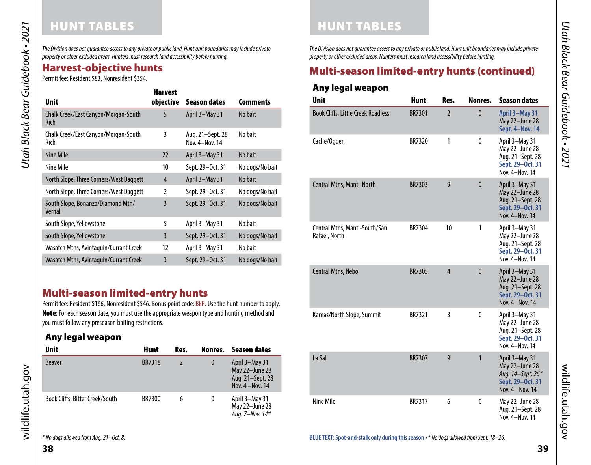*The Division does not guarantee access to any private or public land. Hunt unit boundaries may include private property or other excluded areas. Hunters must research land accessibility before hunting.*

# <span id="page-19-0"></span>Harvest-objective hunts

Permit fee: Resident \$83, Nonresident \$354.

|                                              | <b>Harvest</b> |                                    |                 |
|----------------------------------------------|----------------|------------------------------------|-----------------|
| <b>Unit</b>                                  | objective      | Season dates                       | <b>Comments</b> |
| Chalk Creek/East Canyon/Morgan-South<br>Rich | 5              | April 3-May 31                     | No bait         |
| Chalk Creek/East Canyon/Morgan-South<br>Rich | 3              | Aug. 21–Sept. 28<br>Nov. 4-Nov. 14 | No bait         |
| Nine Mile                                    | 22             | April 3-May 31                     | No bait         |
| Nine Mile                                    | 10             | Sept. 29-Oct. 31                   | No dogs/No bait |
| North Slope, Three Corners/West Daggett      | 4              | April 3-May 31                     | No bait         |
| North Slope, Three Corners/West Daggett      | $\overline{2}$ | Sept. 29-Oct. 31                   | No dogs/No bait |
| South Slope, Bonanza/Diamond Mtn/<br>Vernal  | 3              | Sept. 29-Oct. 31                   | No dogs/No bait |
| South Slope, Yellowstone                     | 5              | April 3-May 31                     | No bait         |
| South Slope, Yellowstone                     | 3              | Sept. 29-Oct. 31                   | No dogs/No bait |
| Wasatch Mtns, Avintaquin/Currant Creek       | 12             | April 3-May 31                     | No bait         |
| Wasatch Mtns, Avintaquin/Currant Creek       | 3              | Sept. 29-Oct. 31                   | No dogs/No bait |

#### Multi-season limited-entry hunts

Permit fee: Resident \$166, Nonresident \$546. Bonus point code: BER. Use the hunt number to apply. Note: For each season date, you must use the appropriate weapon type and hunting method and you must follow any preseason baiting restrictions.

#### Any legal weapon

| <b>Unit</b>                     | <b>Hunt</b>   | Res. | Nonres.  | Season dates                                                             |
|---------------------------------|---------------|------|----------|--------------------------------------------------------------------------|
| <b>Beaver</b>                   | <b>BR7318</b> |      | $\bf{0}$ | April 3-May 31<br>May 22-June 28<br>Aug. 21-Sept. 28<br>Nov. 4 - Nov. 14 |
| Book Cliffs, Bitter Creek/South | <b>BR7300</b> | 6    | 0        | April 3-May 31<br>May 22-June 28<br>Aug. 7-Nov. 14*                      |

*The Division does not guarantee access to any private or public land. Hunt unit boundaries may include private property or other excluded areas. Hunters must research land accessibility before hunting.*

# Multi-season limited-entry hunts (continued)

#### Any legal weapon

HUNT TABLES

| <b>Unit</b>                                    | <b>Hunt</b>   | Res.           | Nonres.      | <b>Season dates</b>                                                                          |
|------------------------------------------------|---------------|----------------|--------------|----------------------------------------------------------------------------------------------|
| <b>Book Cliffs, Little Creek Roadless</b>      | <b>BR7301</b> | $\overline{2}$ | $\bf{0}$     | April 3-May 31<br>May 22-June 28<br>Sept. 4-Nov. 14                                          |
| Cache/Ogden                                    | BR7320        | 1              | $\mathbf{0}$ | April 3-May 31<br>May 22-June 28<br>Aug. 21-Sept. 28<br>Sept. 29-Oct. 31<br>Nov. 4-Nov. 14   |
| Central Mtns, Manti-North                      | BR7303        | 9              | $\mathbf{0}$ | April 3-May 31<br>May 22-June 28<br>Aug. 21-Sept. 28<br>Sept. 29-Oct. 31<br>Nov. 4-Nov. 14   |
| Central Mtns, Manti-South/San<br>Rafael, North | BR7304        | 10             | 1            | April 3-May 31<br>May 22-June 28<br>Aug. 21-Sept. 28<br>Sept. 29-Oct. 31<br>Nov. 4-Nov. 14   |
| Central Mtns, Nebo                             | <b>BR7305</b> | $\overline{4}$ | $\mathbf{0}$ | April 3-May 31<br>May 22-June 28<br>Aug. 21-Sept. 28<br>Sept. 29-Oct. 31<br>Nov. 4 - Nov. 14 |
| Kamas/North Slope, Summit                      | BR7321        | 3              | $\mathbf{0}$ | April 3-May 31<br>May 22-June 28<br>Aug. 21-Sept. 28<br>Sept. 29-Oct. 31<br>Nov. 4-Nov. 14   |
| La Sal                                         | <b>BR7307</b> | 9              | 1            | April 3-May 31<br>May 22-June 28<br>Aug. 14-Sept. 26*<br>Sept. 29-Oct. 31<br>Nov. 4- Nov. 14 |
| Nine Mile                                      | <b>BR7317</b> | 6              | 0            | May 22-June 28<br>Aug. 21-Sept. 28<br>Nov. 4-Nov. 14                                         |

**38**

wildlife.utah.gov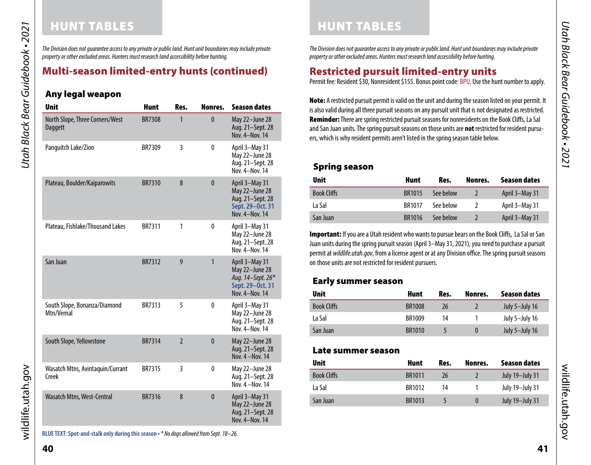# <span id="page-20-0"></span>HUNT TABLES HUNT TABLES

*The Division does not guarantee access to any private or public land. Hunt unit boundaries may include private property or other excluded areas. Hunters must research land accessibility before hunting.*

#### Multi-season limited-entry hunts (continued)

#### Any legal weapon

| <b>Unit</b>                                | <b>Hunt</b>   | Res.           | Nonres.      | <b>Season dates</b>                                                                         |
|--------------------------------------------|---------------|----------------|--------------|---------------------------------------------------------------------------------------------|
| North Slope, Three Corners/West<br>Daggett | <b>BR7308</b> | 1              | $\mathbf{0}$ | May 22-June 28<br>Aug. 21-Sept. 28<br>Nov. 4-Nov. 14                                        |
| Panguitch Lake/Zion                        | BR7309        | 3              | 0            | April 3-May 31<br>May 22-June 28<br>Aug. 21-Sept. 28<br>Nov. 4-Nov. 14                      |
| Plateau, Boulder/Kaiparowits               | <b>BR7310</b> | 8              | $\mathbf{0}$ | April 3-May 31<br>May 22-June 28<br>Aug. 21-Sept. 28<br>Sept. 29-Oct. 31<br>Nov. 4-Nov. 14  |
| Plateau, Fishlake/Thousand Lakes           | BR7311        | 1              | 0            | April 3-May 31<br>May 22-June 28<br>Aug. 21-Sept. 28<br>Nov. 4-Nov. 14                      |
| San Juan                                   | <b>BR7312</b> | 9              | $\mathbf{1}$ | April 3-May 31<br>May 22-June 28<br>Aug. 14-Sept. 26*<br>Sept. 29-Oct. 31<br>Nov. 4-Nov. 14 |
| South Slope, Bonanza/Diamond<br>Mtn/Vernal | BR7313        | 5              | $\mathbf{0}$ | April 3-May 31<br>May 22-June 28<br>Aug. 21-Sept. 28<br>Nov. 4-Nov. 14                      |
| South Slope, Yellowstone                   | <b>BR7314</b> | $\overline{2}$ | $\mathbf{0}$ | May 22-June 28<br>Aug. 21-Sept. 28<br>Nov. 4 - Nov. 14                                      |
| Wasatch Mtns, Avintaquin/Currant<br>Creek  | <b>BR7315</b> | 3              | 0            | May 22-June 28<br>Aug. 21-Sept. 28<br>Nov. 4 - Nov. 14                                      |
| Wasatch Mtns, West-Central                 | <b>BR7316</b> | 8              | $\mathbf{0}$ | April 3-May 31<br>May 22-June 28<br>Aug. 21-Sept. 28<br>Nov. 4-Nov. 14                      |

**BLUE TEXT: Spot-and-stalk only during this season** *• \* No dogs allowed from Sept. 18–26.*

*Utah Black Bear Guidebook • 2021*

Utah Black Bear Guidebook • 2021

*The Division does not guarantee access to any private or public land. Hunt unit boundaries may include private property or other excluded areas. Hunters must research land accessibility before hunting.*

# <span id="page-20-1"></span>Restricted pursuit limited-entry units

Permit fee: Resident \$30, Nonresident \$155. Bonus point code: BPU. Use the hunt number to apply.

Note: A restricted pursuit permit is valid on the unit and during the season listed on your permit. It is also valid during all three pursuit seasons on any pursuit unit that is not designated as restricted. Reminder: There are spring restricted pursuit seasons for nonresidents on the Book Cliffs, La Sal and San Juan units. The spring pursuit seasons on those units are **not** restricted for resident pursuers, which is why resident permits aren't listed in the spring season table below.

#### Spring season

| <b>Unit</b>        | <b>Hunt</b>   | Res.      | Nonres. | <b>Season dates</b> |
|--------------------|---------------|-----------|---------|---------------------|
| <b>Book Cliffs</b> | <b>BR1015</b> | See below |         | April 3-May 31      |
| La Sal             | <b>BR1017</b> | See below |         | April 3-May 31      |
| San Juan           | <b>BR1016</b> | See below |         | April 3-May 31      |

Important: If you are a Utah resident who wants to pursue bears on the Book Cliffs, La Sal or San Juan units during the spring pursuit season (April 3–May 31, 2021), you need to purchase a pursuit permit at *wildlife.utah.gov*, from a license agent or at any Division office. The spring pursuit seasons on those units are not restricted for resident pursuers.

#### Early summer season

| <b>Unit</b>        | Hunt          | Res. | Nonres.  | Season dates   |  |
|--------------------|---------------|------|----------|----------------|--|
| <b>Book Cliffs</b> | <b>BR1008</b> | 26   |          | July 5-July 16 |  |
| La Sal             | BR1009        | 14   |          | July 5-July 16 |  |
| San Juan           | <b>BR1010</b> |      | $\bf{0}$ | July 5-July 16 |  |

#### Late summer season

| <b>Unit</b>        | Hunt          | Res. | Nonres.  | Season dates           |
|--------------------|---------------|------|----------|------------------------|
| <b>Book Cliffs</b> | <b>BR1011</b> | 26   |          | July 19-July 31        |
| La Sal             | BR1012        | 14   |          | July 19-July 31        |
| San Juan           | BR1013        | 5    | $\Omega$ | <b>July 19-July 31</b> |

wildlife.utah.gov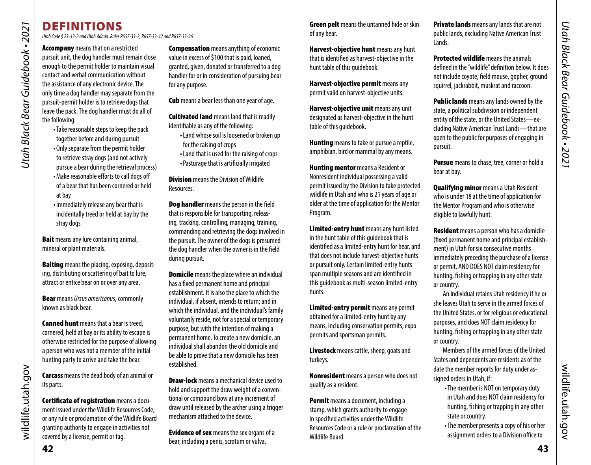# DEFINITIONS

*Utah Code § 23-13-2 and Utah Admin. Rules R657-33-2, R657-33-12 and R657-33-26* 

Utah Black Bear Guidebook • 2021 *Utah Black Bear Guidebook • 2021* **Accompany** means that on a restricted

pursuit unit, the dog handler must remain close enough to the permit holder to maintain visual contact and verbal communication without the assistance of any electronic device. The only time a dog handler may separate from the pursuit-permit holder is to retrieve dogs that leave the pack. The dog handler must do all of the following:

•Take reasonable steps to keep the pack together before and during pursuit •Only separate from the permit holder to retrieve stray dogs (and not actively

- pursue a bear during the retrieval process) •Make reasonable efforts to call dogs off
- of a bear that has been cornered or held at bay
- •Immediately release any bear that is incidentally treed or held at bay by the stray dogs

**Bait** means any lure containing animal, mineral or plant materials.

**Baiting** means the placing, exposing, depositing, distributing or scattering of bait to lure, attract or entice bear on or over any area.

Bear means *Ursus americanus*, commonly known as black bear.

**Canned hunt** means that a bear is treed. cornered, held at bay or its ability to escape is otherwise restricted for the purpose of allowing a person who was not a member of the initial hunting party to arrive and take the bear.

Carcass means the dead body of an animal or its parts.

Certificate of registration means a document issued under the Wildlife Resources Code, or any rule or proclamation of the Wildlife Board granting authority to engage in activities not covered by a license, permit or tag.

**Compensation** means anything of economic value in excess of \$100 that is paid, loaned, granted, given, donated or transferred to a dog handler for or in consideration of pursuing bear for any purpose.

**Cub** means a bear less than one year of age.

**Cultivated land** means land that is readily identifiable as any of the following:

- •Land whose soil is loosened or broken up for the raising of crops
- •Land that is used for the raising of crops •Pasturage that is artificially irrigated

**Division** means the Division of Wildlife Resources.

Dog handler means the person in the field that is responsible for transporting, releasing, tracking, controlling, managing, training, commanding and retrieving the dogs involved in the pursuit. The owner of the dogs is presumed the dog handler when the owner is in the field during pursuit.

**Domicile** means the place where an individual has a fixed permanent home and principal establishment. It is also the place to which the individual, if absent, intends to return; and in which the individual, and the individual's family voluntarily reside, not for a special or temporary purpose, but with the intention of making a permanent home. To create a new domicile, an individual shall abandon the old domicile and be able to prove that a new domicile has been established.

**Draw-lock** means a mechanical device used to hold and support the draw weight of a conventional or compound bow at any increment of draw until released by the archer using a trigger mechanism attached to the device.

**Evidence of sex** means the sex organs of a bear, including a penis, scrotum or vulva.

**Green pelt** means the untanned hide or skin of any bear.

Harvest-objective hunt means any hunt that is identified as harvest-objective in the hunt table of this guidebook.

Harvest-objective permit means any permit valid on harvest-objective units.

Harvest-objective unit means any unit designated as harvest-objective in the hunt table of this guidebook.

**Hunting** means to take or pursue a reptile, amphibian, bird or mammal by any means.

**Hunting mentor** means a Resident or Nonresident individual possessing a valid permit issued by the Division to take protected wildlife in Utah and who is 21 years of age or older at the time of application for the Mentor Program.

Limited-entry hunt means any hunt listed in the hunt table of this guidebook that is identified as a limited-entry hunt for bear, and that does not include harvest-objective hunts or pursuit only. Certain limited-entry hunts span multiple seasons and are identified in this guidebook as multi-season limited-entry hunts.

Limited-entry permit means any permit obtained for a limited-entry hunt by any means, including conservation permits, expo permits and sportsman permits.

Livestock means cattle, sheep, goats and turkeys.

Nonresident means a person who does not qualify as a resident.

Permit means a document, including a stamp, which grants authority to engage in specified activities under the Wildlife Resources Code or a rule or proclamation of the Wildlife Board.

**Private lands** means any lands that are not public lands, excluding Native American Trust Lands.

**Protected wildlife** means the animals defined in the "wildlife" definition below. It does not include coyote, field mouse, gopher, ground squirrel, jackrabbit, muskrat and raccoon.

**Public lands** means any lands owned by the state, a political subdivision or independent entity of the state, or the United States—excluding Native American Trust Lands—that are open to the public for purposes of engaging in pursuit.

Pursue means to chase, tree, corner or hold a bear at bay.

<span id="page-21-0"></span>Qualifying minor means a Utah Resident who is under 18 at the time of application for the Mentor Program and who is otherwise eligible to lawfully hunt.

**Resident** means a person who has a domicile (fixed permanent home and principal establishment) in Utah for six consecutive months immediately preceding the purchase of a license or permit, AND DOES NOT claim residency for hunting, fishing or trapping in any other state or country.

An individual retains Utah residency if he or she leaves Utah to serve in the armed forces of the United States, or for religious or educational purposes, and does NOT claim residency for hunting, fishing or trapping in any other state or country.

Members of the armed forces of the United States and dependents are residents as of the date the member reports for duty under assigned orders in Utah, if:

- •The member is NOT on temporary duty in Utah and does NOT claim residency for hunting, fishing or trapping in any other state or country.
- •The member presents a copy of his or her assignment orders to a Division office to

wildlife.utah.gov